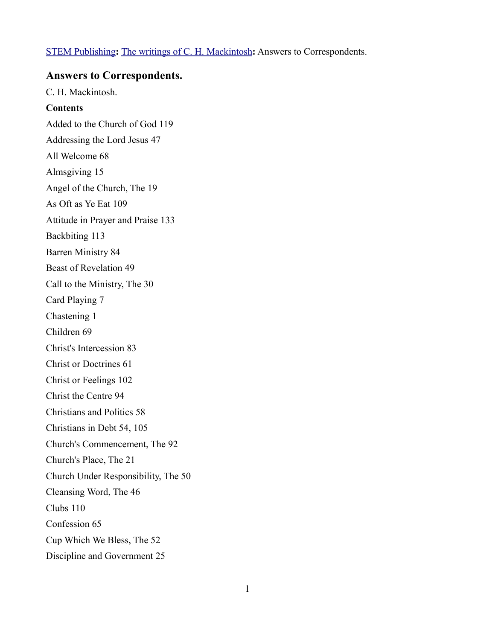# [STEM Publishing](http://www.stempublishing.com/)**:** [The writings of C. H. Mackintosh](http://www.stempublishing.com/authors/mackintosh/index.html)**:** Answers to Correspondents.

# **Answers to Correspondents.**

C. H. Mackintosh.

# **Contents**

Added to the Church of God 119 Addressing the Lord Jesus 47 All Welcome 68 Almsgiving 15 Angel of the Church, The 19 As Oft as Ye Eat 109 Attitude in Prayer and Praise 133 Backbiting 113 Barren Ministry 84 Beast of Revelation 49 Call to the Ministry, The 30 Card Playing 7 Chastening 1 Children 69 Christ's Intercession 83 Christ or Doctrines 61 Christ or Feelings 102 Christ the Centre 94 Christians and Politics 58 Christians in Debt 54, 105 Church's Commencement, The 92 Church's Place, The 21 Church Under Responsibility, The 50 Cleansing Word, The 46 Clubs 110 Confession 65 Cup Which We Bless, The 52 Discipline and Government 25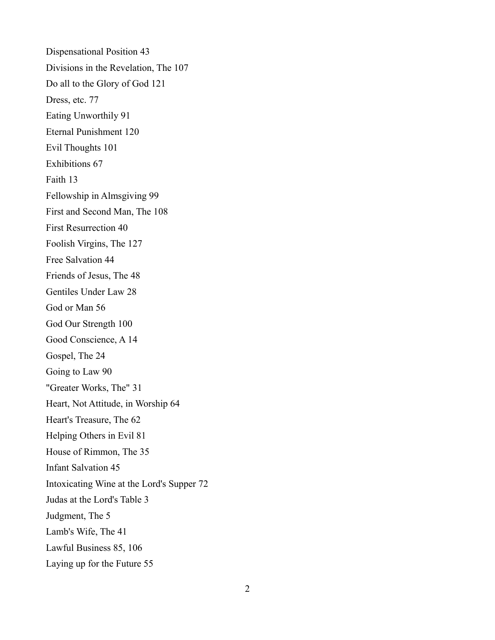Dispensational Position 43 Divisions in the Revelation, The 107 Do all to the Glory of God 121 Dress, etc. 77 Eating Unworthily 91 Eternal Punishment 120 Evil Thoughts 101 Exhibitions 67 Faith 13 Fellowship in Almsgiving 99 First and Second Man, The 108 First Resurrection 40 Foolish Virgins, The 127 Free Salvation 44 Friends of Jesus, The 48 Gentiles Under Law 28 God or Man 56 God Our Strength 100 Good Conscience, A 14 Gospel, The 24 Going to Law 90 "Greater Works, The" 31 Heart, Not Attitude, in Worship 64 Heart's Treasure, The 62 Helping Others in Evil 81 House of Rimmon, The 35 Infant Salvation 45 Intoxicating Wine at the Lord's Supper 72 Judas at the Lord's Table 3 Judgment, The 5 Lamb's Wife, The 41 Lawful Business 85, 106 Laying up for the Future 55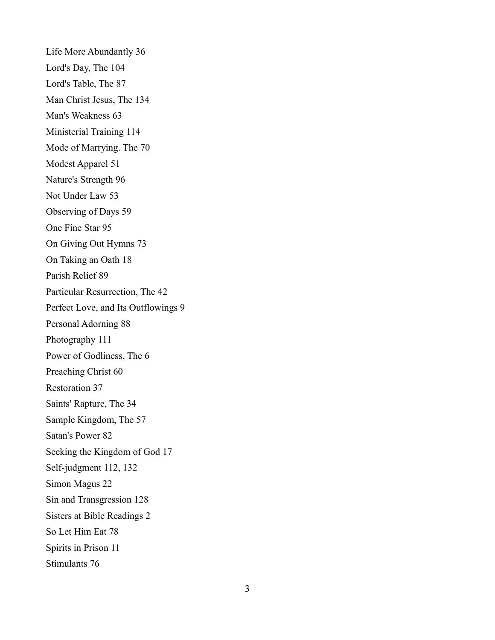Life More Abundantly 36 Lord's Day, The 104 Lord's Table, The 87 Man Christ Jesus, The 134 Man's Weakness 63 Ministerial Training 114 Mode of Marrying. The 70 Modest Apparel 51 Nature's Strength 96 Not Under Law 53 Observing of Days 59 One Fine Star 95 On Giving Out Hymns 73 On Taking an Oath 18 Parish Relief 89 Particular Resurrection, The 42 Perfect Love, and Its Outflowings 9 Personal Adorning 88 Photography 111 Power of Godliness, The 6 Preaching Christ 60 Restoration 37 Saints' Rapture, The 34 Sample Kingdom, The 57 Satan's Power 82 Seeking the Kingdom of God 17 Self-judgment 112, 132 Simon Magus 22 Sin and Transgression 128 Sisters at Bible Readings 2 So Let Him Eat 78 Spirits in Prison 11 Stimulants 76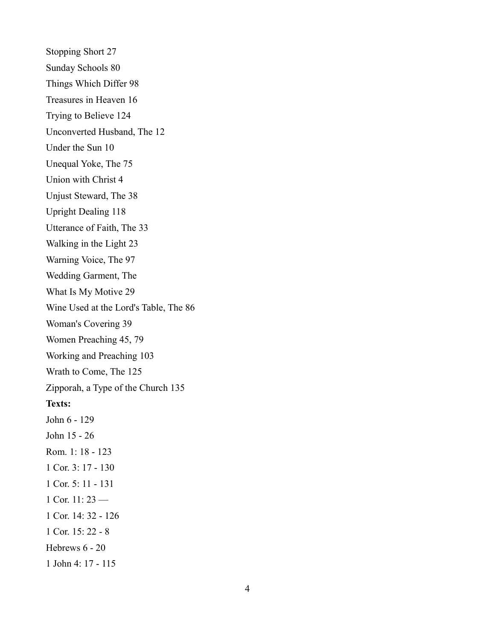Stopping Short 27 Sunday Schools 80 Things Which Differ 98 Treasures in Heaven 16 Trying to Believe 124 Unconverted Husband, The 12 Under the Sun 10 Unequal Yoke, The 75 Union with Christ 4 Unjust Steward, The 38 Upright Dealing 118 Utterance of Faith, The 33 Walking in the Light 23 Warning Voice, The 97 Wedding Garment, The What Is My Motive 29 Wine Used at the Lord's Table, The 86 Woman's Covering 39 Women Preaching 45, 79 Working and Preaching 103 Wrath to Come, The 125 Zipporah, a Type of the Church 135 **Texts:** John 6 - 129 John 15 - 26 Rom. 1: 18 - 123 1 Cor. 3: 17 - 130 1 Cor. 5: 11 - 131 1 Cor. 11: 23 — 1 Cor. 14: 32 - 126 1 Cor. 15: 22 - 8 Hebrews 6 - 20 1 John 4: 17 - 115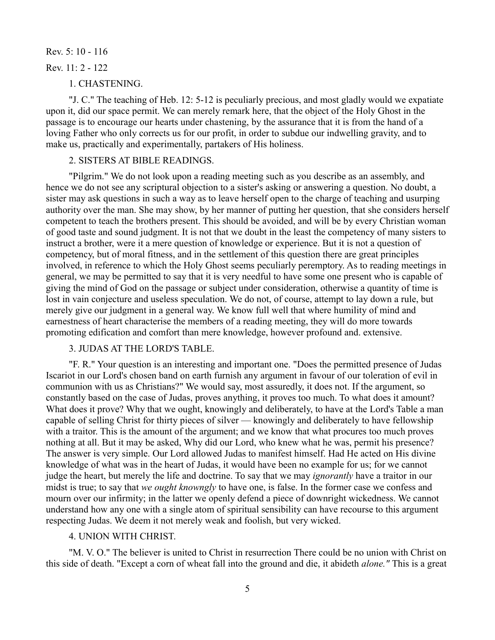## Rev. 5: 10 - 116

#### Rev. 11: 2 - 122

1. CHASTENING.

"J. C." The teaching of Heb. 12: 5-12 is peculiarly precious, and most gladly would we expatiate upon it, did our space permit. We can merely remark here, that the object of the Holy Ghost in the passage is to encourage our hearts under chastening, by the assurance that it is from the hand of a loving Father who only corrects us for our profit, in order to subdue our indwelling gravity, and to make us, practically and experimentally, partakers of His holiness.

# 2. SISTERS AT BIBLE READINGS.

"Pilgrim." We do not look upon a reading meeting such as you describe as an assembly, and hence we do not see any scriptural objection to a sister's asking or answering a question. No doubt, a sister may ask questions in such a way as to leave herself open to the charge of teaching and usurping authority over the man. She may show, by her manner of putting her question, that she considers herself competent to teach the brothers present. This should be avoided, and will be by every Christian woman of good taste and sound judgment. It is not that we doubt in the least the competency of many sisters to instruct a brother, were it a mere question of knowledge or experience. But it is not a question of competency, but of moral fitness, and in the settlement of this question there are great principles involved, in reference to which the Holy Ghost seems peculiarly peremptory. As to reading meetings in general, we may be permitted to say that it is very needful to have some one present who is capable of giving the mind of God on the passage or subject under consideration, otherwise a quantity of time is lost in vain conjecture and useless speculation. We do not, of course, attempt to lay down a rule, but merely give our judgment in a general way. We know full well that where humility of mind and earnestness of heart characterise the members of a reading meeting, they will do more towards promoting edification and comfort than mere knowledge, however profound and. extensive.

# 3. JUDAS AT THE LORD'S TABLE.

"F. R." Your question is an interesting and important one. "Does the permitted presence of Judas Iscariot in our Lord's chosen band on earth furnish any argument in favour of our toleration of evil in communion with us as Christians?" We would say, most assuredly, it does not. If the argument, so constantly based on the case of Judas, proves anything, it proves too much. To what does it amount? What does it prove? Why that we ought, knowingly and deliberately, to have at the Lord's Table a man capable of selling Christ for thirty pieces of silver — knowingly and deliberately to have fellowship with a traitor. This is the amount of the argument; and we know that what procures too much proves nothing at all. But it may be asked, Why did our Lord, who knew what he was, permit his presence? The answer is very simple. Our Lord allowed Judas to manifest himself. Had He acted on His divine knowledge of what was in the heart of Judas, it would have been no example for us; for we cannot judge the heart, but merely the life and doctrine. To say that we may *ignorantly* have a traitor in our midst is true; to say that *we ought knowngly* to have one, is false. In the former case we confess and mourn over our infirmity; in the latter we openly defend a piece of downright wickedness. We cannot understand how any one with a single atom of spiritual sensibility can have recourse to this argument respecting Judas. We deem it not merely weak and foolish, but very wicked.

# 4. UNION WITH CHRIST.

"M. V. O." The believer is united to Christ in resurrection There could be no union with Christ on this side of death. "Except a corn of wheat fall into the ground and die, it abideth *alone."* This is a great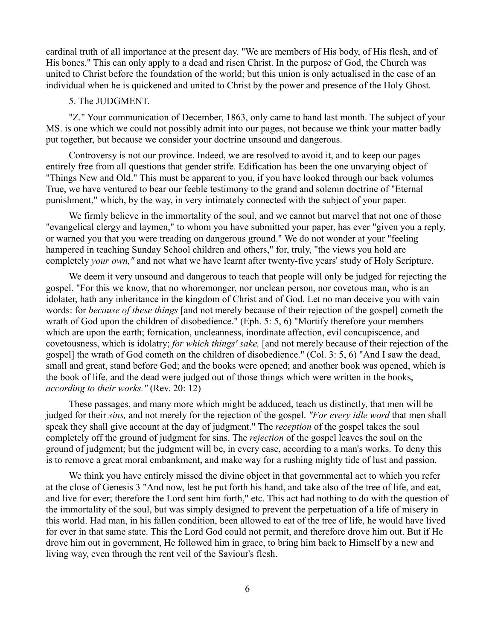cardinal truth of all importance at the present day. "We are members of His body, of His flesh, and of His bones." This can only apply to a dead and risen Christ. In the purpose of God, the Church was united to Christ before the foundation of the world; but this union is only actualised in the case of an individual when he is quickened and united to Christ by the power and presence of the Holy Ghost.

### 5. The JUDGMENT.

"Z." Your communication of December, 1863, only came to hand last month. The subject of your MS. is one which we could not possibly admit into our pages, not because we think your matter badly put together, but because we consider your doctrine unsound and dangerous.

Controversy is not our province. Indeed, we are resolved to avoid it, and to keep our pages entirely free from all questions that gender strife. Edification has been the one unvarying object of "Things New and Old." This must be apparent to you, if you have looked through our back volumes True, we have ventured to bear our feeble testimony to the grand and solemn doctrine of "Eternal punishment," which, by the way, in very intimately connected with the subject of your paper.

We firmly believe in the immortality of the soul, and we cannot but marvel that not one of those "evangelical clergy and laymen," to whom you have submitted your paper, has ever "given you a reply, or warned you that you were treading on dangerous ground." We do not wonder at your "feeling hampered in teaching Sunday School children and others," for, truly, "the views you hold are completely *your own,"* and not what we have learnt after twenty-five years' study of Holy Scripture.

We deem it very unsound and dangerous to teach that people will only be judged for rejecting the gospel. "For this we know, that no whoremonger, nor unclean person, nor covetous man, who is an idolater, hath any inheritance in the kingdom of Christ and of God. Let no man deceive you with vain words: for *because of these things* [and not merely because of their rejection of the gospel] cometh the wrath of God upon the children of disobedience." (Eph. 5: 5, 6) "Mortify therefore your members which are upon the earth; fornication, uncleanness, inordinate affection, evil concupiscence, and covetousness, which is idolatry; *for which things' sake,* [and not merely because of their rejection of the gospel] the wrath of God cometh on the children of disobedience." (Col. 3: 5, 6) "And I saw the dead, small and great, stand before God; and the books were opened; and another book was opened, which is the book of life, and the dead were judged out of those things which were written in the books, *according to their works."* (Rev. 20: 12)

These passages, and many more which might be adduced, teach us distinctly, that men will be judged for their *sins,* and not merely for the rejection of the gospel. *"For every idle word* that men shall speak they shall give account at the day of judgment." The *reception* of the gospel takes the soul completely off the ground of judgment for sins. The *rejection* of the gospel leaves the soul on the ground of judgment; but the judgment will be, in every case, according to a man's works. To deny this is to remove a great moral embankment, and make way for a rushing mighty tide of lust and passion.

We think you have entirely missed the divine object in that governmental act to which you refer at the close of Genesis 3 "And now, lest he put forth his hand, and take also of the tree of life, and eat, and live for ever; therefore the Lord sent him forth," etc. This act had nothing to do with the question of the immortality of the soul, but was simply designed to prevent the perpetuation of a life of misery in this world. Had man, in his fallen condition, been allowed to eat of the tree of life, he would have lived for ever in that same state. This the Lord God could not permit, and therefore drove him out. But if He drove him out in government, He followed him in grace, to bring him back to Himself by a new and living way, even through the rent veil of the Saviour's flesh.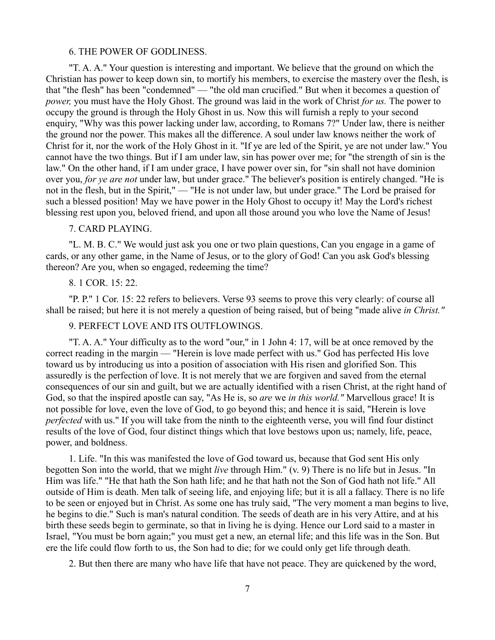#### 6. THE POWER OF GODLINESS.

"T. A. A." Your question is interesting and important. We believe that the ground on which the Christian has power to keep down sin, to mortify his members, to exercise the mastery over the flesh, is that "the flesh" has been "condemned" — "the old man crucified." But when it becomes a question of *power,* you must have the Holy Ghost. The ground was laid in the work of Christ *for us.* The power to occupy the ground is through the Holy Ghost in us. Now this will furnish a reply to your second enquiry, "Why was this power lacking under law, according, to Romans 7?" Under law, there is neither the ground nor the power. This makes all the difference. A soul under law knows neither the work of Christ for it, nor the work of the Holy Ghost in it. "If ye are led of the Spirit, ye are not under law." You cannot have the two things. But if I am under law, sin has power over me; for "the strength of sin is the law." On the other hand, if I am under grace, I have power over sin, for "sin shall not have dominion over you, *for ye are not* under law, but under grace." The believer's position is entirely changed. "He is not in the flesh, but in the Spirit," — "He is not under law, but under grace." The Lord be praised for such a blessed position! May we have power in the Holy Ghost to occupy it! May the Lord's richest blessing rest upon you, beloved friend, and upon all those around you who love the Name of Jesus!

### 7. CARD PLAYING.

"L. M. B. C." We would just ask you one or two plain questions, Can you engage in a game of cards, or any other game, in the Name of Jesus, or to the glory of God! Can you ask God's blessing thereon? Are you, when so engaged, redeeming the time?

## 8. 1 COR. 15: 22.

"P. P." 1 Cor. 15: 22 refers to believers. Verse 93 seems to prove this very clearly: of course all shall be raised; but here it is not merely a question of being raised, but of being "made alive *in Christ."* 

# 9. PERFECT LOVE AND ITS OUTFLOWINGS.

"T. A. A." Your difficulty as to the word "our," in 1 John 4: 17, will be at once removed by the correct reading in the margin — "Herein is love made perfect with us." God has perfected His love toward us by introducing us into a position of association with His risen and glorified Son. This assuredly is the perfection of love. It is not merely that we are forgiven and saved from the eternal consequences of our sin and guilt, but we are actually identified with a risen Christ, at the right hand of God, so that the inspired apostle can say, "As He is, so *are* we *in this world."* Marvellous grace! It is not possible for love, even the love of God, to go beyond this; and hence it is said, "Herein is love *perfected* with us." If you will take from the ninth to the eighteenth verse, you will find four distinct results of the love of God, four distinct things which that love bestows upon us; namely, life, peace, power, and boldness.

1. Life. "In this was manifested the love of God toward us, because that God sent His only begotten Son into the world, that we might *live* through Him." (v. 9) There is no life but in Jesus. "In Him was life." "He that hath the Son hath life; and he that hath not the Son of God hath not life." All outside of Him is death. Men talk of seeing life, and enjoying life; but it is all a fallacy. There is no life to be seen or enjoyed but in Christ. As some one has truly said, "The very moment a man begins to live, he begins to die." Such is man's natural condition. The seeds of death are in his very Attire, and at his birth these seeds begin to germinate, so that in living he is dying. Hence our Lord said to a master in Israel, "You must be born again;" you must get a new, an eternal life; and this life was in the Son. But ere the life could flow forth to us, the Son had to die; for we could only get life through death.

2. But then there are many who have life that have not peace. They are quickened by the word,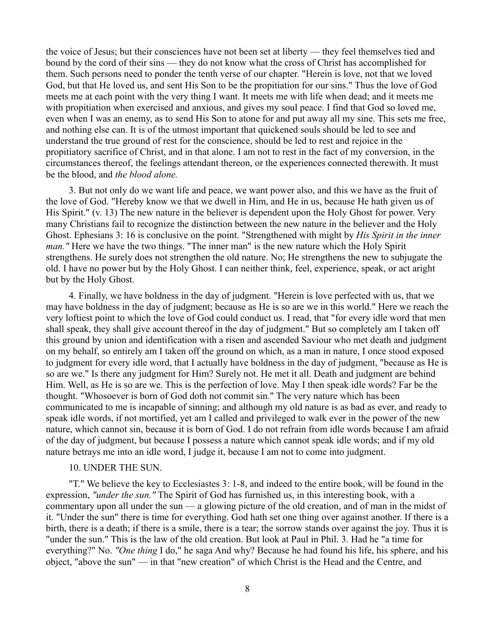the voice of Jesus; but their consciences have not been set at liberty — they feel themselves tied and bound by the cord of their sins — they do not know what the cross of Christ has accomplished for them. Such persons need to ponder the tenth verse of our chapter. "Herein is love, not that we loved God, but that He loved us, and sent His Son to be the propitiation for our sins." Thus the love of God meets me at each point with the very thing I want. It meets me with life when dead; and it meets me with propitiation when exercised and anxious, and gives my soul peace. I find that God so loved me, even when I was an enemy, as to send His Son to atone for and put away all my sine. This sets me free, and nothing else can. It is of the utmost important that quickened souls should be led to see and understand the true ground of rest for the conscience, should be led to rest and rejoice in the propitiatory sacrifice of Christ, and in that alone. I am not to rest in the fact of my conversion, in the circumstances thereof, the feelings attendant thereon, or the experiences connected therewith. It must be the blood, and *the blood alone.* 

3. But not only do we want life and peace, we want power also, and this we have as the fruit of the love of God. "Hereby know we that we dwell in Him, and He in us, because He hath given us of His Spirit." (v. 13) The new nature in the believer is dependent upon the Holy Ghost for power. Very many Christians fail to recognize the distinction between the new nature in the believer and the Holy Ghost. Ephesians 3: 16 is conclusive on the point. "Strengthened with might by *His Spirit in the inner man.* " Here we have the two things. "The inner man" is the new nature which the Holy Spirit strengthens. He surely does not strengthen the old nature. No; He strengthens the new to subjugate the old. I have no power but by the Holy Ghost. I can neither think, feel, experience, speak, or act aright but by the Holy Ghost.

4. Finally, we have boldness in the day of judgment. "Herein is love perfected with us, that we may have boldness in the day of judgment; because as He is so are we in this world." Here we reach the very loftiest point to which the love of God could conduct us. I read, that "for every idle word that men shall speak, they shall give account thereof in the day of judgment." But so completely am I taken off this ground by union and identification with a risen and ascended Saviour who met death and judgment on my behalf, so entirely am I taken off the ground on which, as a man in nature, I once stood exposed to judgment for every idle word, that I actually have boldness in the day of judgment, "because as He is so are we." Is there any judgment for Him? Surely not. He met it all. Death and judgment are behind Him. Well, as He is so are we. This is the perfection of love. May I then speak idle words? Far be the thought. "Whosoever is born of God doth not commit sin." The very nature which has been communicated to me is incapable of sinning; and although my old nature is as bad as ever, and ready to speak idle words, if not mortified, yet am I called and privileged to walk ever in the power of the new nature, which cannot sin, because it is born of God. I do not refrain from idle words because I am afraid of the day of judgment, but because I possess a nature which cannot speak idle words; and if my old nature betrays me into an idle word, I judge it, because I am not to come into judgment.

### 10. UNDER THE SUN.

"T." We believe the key to Ecclesiastes 3: 1-8, and indeed to the entire book, will be found in the expression, *"under the sun."* The Spirit of God has furnished us, in this interesting book, with a commentary upon all under the sun — a glowing picture of the old creation, and of man in the midst of it. "Under the sun" there is time for everything. God hath set one thing over against another. If there is a birth, there is a death; if there is a smile, there is a tear; the sorrow stands over against the joy. Thus it is "under the sun." This is the law of the old creation. But look at Paul in Phil. 3. Had he "a time for everything?" No. *"One thing* I do," he saga And why? Because he had found his life, his sphere, and his object, "above the sun" — in that "new creation" of which Christ is the Head and the Centre, and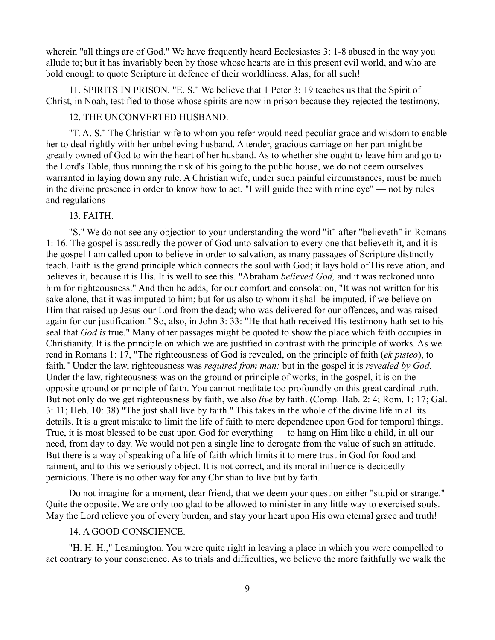wherein "all things are of God." We have frequently heard Ecclesiastes 3: 1-8 abused in the way you allude to; but it has invariably been by those whose hearts are in this present evil world, and who are bold enough to quote Scripture in defence of their worldliness. Alas, for all such!

11. SPIRITS IN PRISON. "E. S." We believe that 1 Peter 3: 19 teaches us that the Spirit of Christ, in Noah, testified to those whose spirits are now in prison because they rejected the testimony.

# 12. THE UNCONVERTED HUSBAND.

"T. A. S." The Christian wife to whom you refer would need peculiar grace and wisdom to enable her to deal rightly with her unbelieving husband. A tender, gracious carriage on her part might be greatly owned of God to win the heart of her husband. As to whether she ought to leave him and go to the Lord's Table, thus running the risk of his going to the public house, we do not deem ourselves warranted in laying down any rule. A Christian wife, under such painful circumstances, must be much in the divine presence in order to know how to act. "I will guide thee with mine eye" — not by rules and regulations

### 13. FAITH.

"S." We do not see any objection to your understanding the word "it" after "believeth" in Romans 1: 16. The gospel is assuredly the power of God unto salvation to every one that believeth it, and it is the gospel I am called upon to believe in order to salvation, as many passages of Scripture distinctly teach. Faith is the grand principle which connects the soul with God; it lays hold of His revelation, and believes it, because it is His. It is well to see this. "Abraham *believed God,* and it was reckoned unto him for righteousness." And then he adds, for our comfort and consolation, "It was not written for his sake alone, that it was imputed to him; but for us also to whom it shall be imputed, if we believe on Him that raised up Jesus our Lord from the dead; who was delivered for our offences, and was raised again for our justification." So, also, in John 3: 33: "He that hath received His testimony hath set to his seal that *God is* true." Many other passages might be quoted to show the place which faith occupies in Christianity. It is the principle on which we are justified in contrast with the principle of works. As we read in Romans 1: 17, "The righteousness of God is revealed, on the principle of faith (*ek pisteo*), to faith." Under the law, righteousness was *required from man;* but in the gospel it is *revealed by God.* Under the law, righteousness was on the ground or principle of works; in the gospel, it is on the opposite ground or principle of faith. You cannot meditate too profoundly on this great cardinal truth. But not only do we get righteousness by faith, we also *live* by faith. (Comp. Hab. 2: 4; Rom. 1: 17; Gal. 3: 11; Heb. 10: 38) "The just shall live by faith." This takes in the whole of the divine life in all its details. It is a great mistake to limit the life of faith to mere dependence upon God for temporal things. True, it is most blessed to be cast upon God for everything — to hang on Him like a child, in all our need, from day to day. We would not pen a single line to derogate from the value of such an attitude. But there is a way of speaking of a life of faith which limits it to mere trust in God for food and raiment, and to this we seriously object. It is not correct, and its moral influence is decidedly pernicious. There is no other way for any Christian to live but by faith.

Do not imagine for a moment, dear friend, that we deem your question either "stupid or strange." Quite the opposite. We are only too glad to be allowed to minister in any little way to exercised souls. May the Lord relieve you of every burden, and stay your heart upon His own eternal grace and truth!

#### 14. A GOOD CONSCIENCE.

"H. H. H.," Leamington. You were quite right in leaving a place in which you were compelled to act contrary to your conscience. As to trials and difficulties, we believe the more faithfully we walk the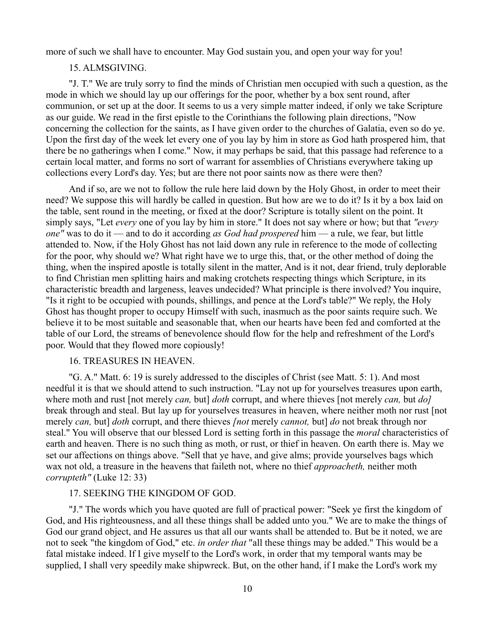more of such we shall have to encounter. May God sustain you, and open your way for you!

# 15. ALMSGIVING.

"J. T." We are truly sorry to find the minds of Christian men occupied with such a question, as the mode in which we should lay up our offerings for the poor, whether by a box sent round, after communion, or set up at the door. It seems to us a very simple matter indeed, if only we take Scripture as our guide. We read in the first epistle to the Corinthians the following plain directions, "Now concerning the collection for the saints, as I have given order to the churches of Galatia, even so do ye. Upon the first day of the week let every one of you lay by him in store as God hath prospered him, that there be no gatherings when I come." Now, it may perhaps be said, that this passage had reference to a certain local matter, and forms no sort of warrant for assemblies of Christians everywhere taking up collections every Lord's day. Yes; but are there not poor saints now as there were then?

And if so, are we not to follow the rule here laid down by the Holy Ghost, in order to meet their need? We suppose this will hardly be called in question. But how are we to do it? Is it by a box laid on the table, sent round in the meeting, or fixed at the door? Scripture is totally silent on the point. It simply says, "Let *every* one of you lay by him in store." It does not say where or how; but that *"every one"* was to do it — and to do it according *as God had prospered* him — a rule, we fear, but little attended to. Now, if the Holy Ghost has not laid down any rule in reference to the mode of collecting for the poor, why should we? What right have we to urge this, that, or the other method of doing the thing, when the inspired apostle is totally silent in the matter, And is it not, dear friend, truly deplorable to find Christian men splitting hairs and making crotchets respecting things which Scripture, in its characteristic breadth and largeness, leaves undecided? What principle is there involved? You inquire, "Is it right to be occupied with pounds, shillings, and pence at the Lord's table?" We reply, the Holy Ghost has thought proper to occupy Himself with such, inasmuch as the poor saints require such. We believe it to be most suitable and seasonable that, when our hearts have been fed and comforted at the table of our Lord, the streams of benevolence should flow for the help and refreshment of the Lord's poor. Would that they flowed more copiously!

### 16. TREASURES IN HEAVEN.

"G. A." Matt. 6: 19 is surely addressed to the disciples of Christ (see Matt. 5: 1). And most needful it is that we should attend to such instruction. "Lay not up for yourselves treasures upon earth, where moth and rust [not merely *can,* but] *doth* corrupt, and where thieves [not merely *can,* but *do]* break through and steal. But lay up for yourselves treasures in heaven, where neither moth nor rust [not merely *can,* but] *doth* corrupt, and there thieves *[not* merely *cannot,* but] *do* not break through nor steal." You will observe that our blessed Lord is setting forth in this passage the *moral* characteristics of earth and heaven. There is no such thing as moth, or rust, or thief in heaven. On earth there is. May we set our affections on things above. "Sell that ye have, and give alms; provide yourselves bags which wax not old, a treasure in the heavens that faileth not, where no thief *approacheth,* neither moth *corrupteth"* (Luke 12: 33)

# 17. SEEKING THE KINGDOM OF GOD.

"J." The words which you have quoted are full of practical power: "Seek ye first the kingdom of God, and His righteousness, and all these things shall be added unto you." We are to make the things of God our grand object, and He assures us that all our wants shall be attended to. But be it noted, we are not to seek "the kingdom of God," etc. *in order that* "all these things may be added." This would be a fatal mistake indeed. If I give myself to the Lord's work, in order that my temporal wants may be supplied, I shall very speedily make shipwreck. But, on the other hand, if I make the Lord's work my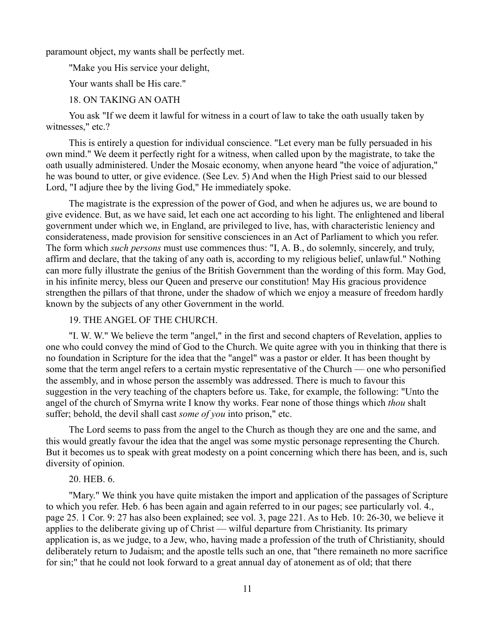paramount object, my wants shall be perfectly met.

"Make you His service your delight,

Your wants shall be His care."

# 18. ON TAKING AN OATH

You ask "If we deem it lawful for witness in a court of law to take the oath usually taken by witnesses," etc.?

This is entirely a question for individual conscience. "Let every man be fully persuaded in his own mind." We deem it perfectly right for a witness, when called upon by the magistrate, to take the oath usually administered. Under the Mosaic economy, when anyone heard "the voice of adjuration," he was bound to utter, or give evidence. (See Lev. 5) And when the High Priest said to our blessed Lord, "I adjure thee by the living God," He immediately spoke.

The magistrate is the expression of the power of God, and when he adjures us, we are bound to give evidence. But, as we have said, let each one act according to his light. The enlightened and liberal government under which we, in England, are privileged to live, has, with characteristic leniency and considerateness, made provision for sensitive consciences in an Act of Parliament to which you refer. The form which *such persons* must use commences thus: "I, A. B., do solemnly, sincerely, and truly, affirm and declare, that the taking of any oath is, according to my religious belief, unlawful." Nothing can more fully illustrate the genius of the British Government than the wording of this form. May God, in his infinite mercy, bless our Queen and preserve our constitution! May His gracious providence strengthen the pillars of that throne, under the shadow of which we enjoy a measure of freedom hardly known by the subjects of any other Government in the world.

# 19. THE ANGEL OF THE CHURCH.

"I. W. W." We believe the term "angel," in the first and second chapters of Revelation, applies to one who could convey the mind of God to the Church. We quite agree with you in thinking that there is no foundation in Scripture for the idea that the "angel" was a pastor or elder. It has been thought by some that the term angel refers to a certain mystic representative of the Church — one who personified the assembly, and in whose person the assembly was addressed. There is much to favour this suggestion in the very teaching of the chapters before us. Take, for example, the following: "Unto the angel of the church of Smyrna write I know thy works. Fear none of those things which *thou* shalt suffer; behold, the devil shall cast *some of you* into prison," etc.

The Lord seems to pass from the angel to the Church as though they are one and the same, and this would greatly favour the idea that the angel was some mystic personage representing the Church. But it becomes us to speak with great modesty on a point concerning which there has been, and is, such diversity of opinion.

# 20. HEB. 6.

"Mary." We think you have quite mistaken the import and application of the passages of Scripture to which you refer. Heb. 6 has been again and again referred to in our pages; see particularly vol. 4., page 25. 1 Cor. 9: 27 has also been explained; see vol. 3, page 221. As to Heb. 10: 26-30, we believe it applies to the deliberate giving up of Christ — wilful departure from Christianity. Its primary application is, as we judge, to a Jew, who, having made a profession of the truth of Christianity, should deliberately return to Judaism; and the apostle tells such an one, that "there remaineth no more sacrifice for sin;" that he could not look forward to a great annual day of atonement as of old; that there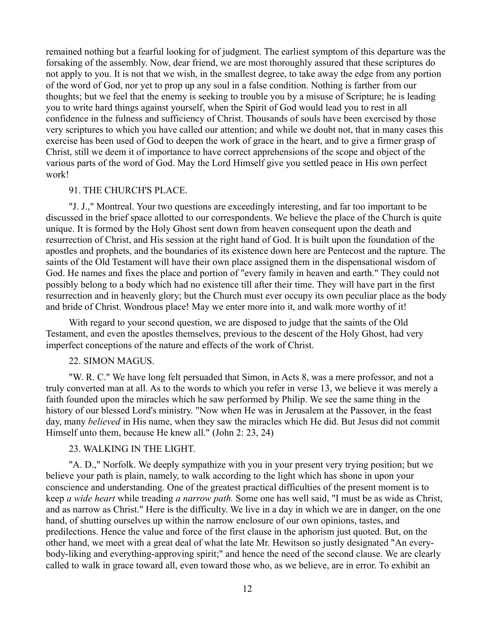remained nothing but a fearful looking for of judgment. The earliest symptom of this departure was the forsaking of the assembly. Now, dear friend, we are most thoroughly assured that these scriptures do not apply to you. It is not that we wish, in the smallest degree, to take away the edge from any portion of the word of God, nor yet to prop up any soul in a false condition. Nothing is farther from our thoughts; but we feel that the enemy is seeking to trouble you by a misuse of Scripture; he is leading you to write hard things against yourself, when the Spirit of God would lead you to rest in all confidence in the fulness and sufficiency of Christ. Thousands of souls have been exercised by those very scriptures to which you have called our attention; and while we doubt not, that in many cases this exercise has been used of God to deepen the work of grace in the heart, and to give a firmer grasp of Christ, still we deem it of importance to have correct apprehensions of the scope and object of the various parts of the word of God. May the Lord Himself give you settled peace in His own perfect work!

#### 91. THE CHURCH'S PLACE.

"J. J.," Montreal. Your two questions are exceedingly interesting, and far too important to be discussed in the brief space allotted to our correspondents. We believe the place of the Church is quite unique. It is formed by the Holy Ghost sent down from heaven consequent upon the death and resurrection of Christ, and His session at the right hand of God. It is built upon the foundation of the apostles and prophets, and the boundaries of its existence down here are Pentecost and the rapture. The saints of the Old Testament will have their own place assigned them in the dispensational wisdom of God. He names and fixes the place and portion of "every family in heaven and earth." They could not possibly belong to a body which had no existence till after their time. They will have part in the first resurrection and in heavenly glory; but the Church must ever occupy its own peculiar place as the body and bride of Christ. Wondrous place! May we enter more into it, and walk more worthy of it!

With regard to your second question, we are disposed to judge that the saints of the Old Testament, and even the apostles themselves, previous to the descent of the Holy Ghost, had very imperfect conceptions of the nature and effects of the work of Christ.

#### 22. SIMON MAGUS.

"W. R. C." We have long felt persuaded that Simon, in Acts 8, was a mere professor, and not a truly converted man at all. As to the words to which you refer in verse 13, we believe it was merely a faith founded upon the miracles which he saw performed by Philip. We see the same thing in the history of our blessed Lord's ministry. "Now when He was in Jerusalem at the Passover, in the feast day, many *believed* in His name, when they saw the miracles which He did. But Jesus did not commit Himself unto them, because He knew all." (John 2: 23, 24)

# 23. WALKING IN THE LIGHT.

"A. D.," Norfolk. We deeply sympathize with you in your present very trying position; but we believe your path is plain, namely, to walk according to the light which has shone in upon your conscience and understanding. One of the greatest practical difficulties of the present moment is to keep *a wide heart* while treading *a narrow path.* Some one has well said, "I must be as wide as Christ, and as narrow as Christ." Here is the difficulty. We live in a day in which we are in danger, on the one hand, of shutting ourselves up within the narrow enclosure of our own opinions, tastes, and predilections. Hence the value and force of the first clause in the aphorism just quoted. But, on the other hand, we meet with a great deal of what the late Mr. Hewitson so justly designated "An everybody-liking and everything-approving spirit;" and hence the need of the second clause. We are clearly called to walk in grace toward all, even toward those who, as we believe, are in error. To exhibit an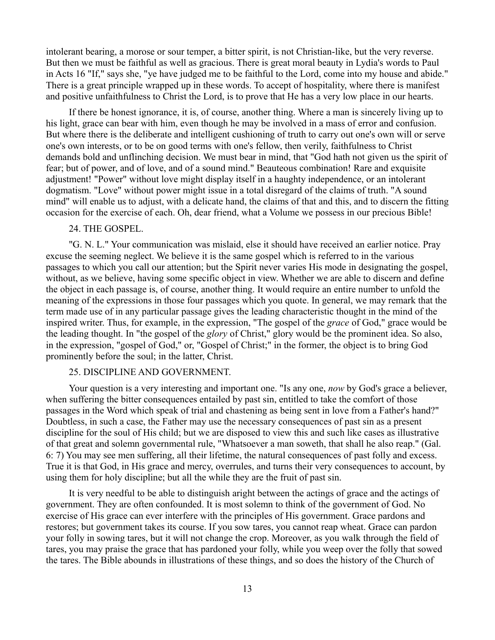intolerant bearing, a morose or sour temper, a bitter spirit, is not Christian-like, but the very reverse. But then we must be faithful as well as gracious. There is great moral beauty in Lydia's words to Paul in Acts 16 "If," says she, "ye have judged me to be faithful to the Lord, come into my house and abide." There is a great principle wrapped up in these words. To accept of hospitality, where there is manifest and positive unfaithfulness to Christ the Lord, is to prove that He has a very low place in our hearts.

If there be honest ignorance, it is, of course, another thing. Where a man is sincerely living up to his light, grace can bear with him, even though he may be involved in a mass of error and confusion. But where there is the deliberate and intelligent cushioning of truth to carry out one's own will or serve one's own interests, or to be on good terms with one's fellow, then verily, faithfulness to Christ demands bold and unflinching decision. We must bear in mind, that "God hath not given us the spirit of fear; but of power, and of love, and of a sound mind." Beauteous combination! Rare and exquisite adjustment! "Power" without love might display itself in a haughty independence, or an intolerant dogmatism. "Love" without power might issue in a total disregard of the claims of truth. "A sound mind" will enable us to adjust, with a delicate hand, the claims of that and this, and to discern the fitting occasion for the exercise of each. Oh, dear friend, what a Volume we possess in our precious Bible!

# 24. THE GOSPEL.

"G. N. L." Your communication was mislaid, else it should have received an earlier notice. Pray excuse the seeming neglect. We believe it is the same gospel which is referred to in the various passages to which you call our attention; but the Spirit never varies His mode in designating the gospel, without, as we believe, having some specific object in view. Whether we are able to discern and define the object in each passage is, of course, another thing. It would require an entire number to unfold the meaning of the expressions in those four passages which you quote. In general, we may remark that the term made use of in any particular passage gives the leading characteristic thought in the mind of the inspired writer. Thus, for example, in the expression, "The gospel of the *grace* of God," grace would be the leading thought. In "the gospel of the *glory* of Christ," glory would be the prominent idea. So also, in the expression, "gospel of God," or, "Gospel of Christ;" in the former, the object is to bring God prominently before the soul; in the latter, Christ.

# 25. DISCIPLINE AND GOVERNMENT.

Your question is a very interesting and important one. "Is any one, *now* by God's grace a believer, when suffering the bitter consequences entailed by past sin, entitled to take the comfort of those passages in the Word which speak of trial and chastening as being sent in love from a Father's hand?" Doubtless, in such a case, the Father may use the necessary consequences of past sin as a present discipline for the soul of His child; but we are disposed to view this and such like cases as illustrative of that great and solemn governmental rule, "Whatsoever a man soweth, that shall he also reap." (Gal. 6: 7) You may see men suffering, all their lifetime, the natural consequences of past folly and excess. True it is that God, in His grace and mercy, overrules, and turns their very consequences to account, by using them for holy discipline; but all the while they are the fruit of past sin.

It is very needful to be able to distinguish aright between the actings of grace and the actings of government. They are often confounded. It is most solemn to think of the government of God. No exercise of His grace can ever interfere with the principles of His government. Grace pardons and restores; but government takes its course. If you sow tares, you cannot reap wheat. Grace can pardon your folly in sowing tares, but it will not change the crop. Moreover, as you walk through the field of tares, you may praise the grace that has pardoned your folly, while you weep over the folly that sowed the tares. The Bible abounds in illustrations of these things, and so does the history of the Church of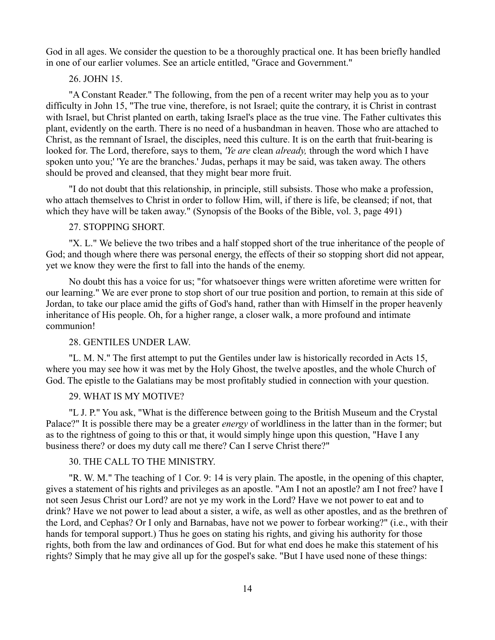God in all ages. We consider the question to be a thoroughly practical one. It has been briefly handled in one of our earlier volumes. See an article entitled, "Grace and Government."

# 26. JOHN 15.

"A Constant Reader." The following, from the pen of a recent writer may help you as to your difficulty in John 15, "The true vine, therefore, is not Israel; quite the contrary, it is Christ in contrast with Israel, but Christ planted on earth, taking Israel's place as the true vine. The Father cultivates this plant, evidently on the earth. There is no need of a husbandman in heaven. Those who are attached to Christ, as the remnant of Israel, the disciples, need this culture. It is on the earth that fruit-bearing is looked for. The Lord, therefore, says to them, *'Ye are* clean *already,* through the word which I have spoken unto you;' 'Ye are the branches.' Judas, perhaps it may be said, was taken away. The others should be proved and cleansed, that they might bear more fruit.

"I do not doubt that this relationship, in principle, still subsists. Those who make a profession, who attach themselves to Christ in order to follow Him, will, if there is life, be cleansed; if not, that which they have will be taken away." (Synopsis of the Books of the Bible, vol. 3, page 491)

# 27. STOPPING SHORT.

"X. L." We believe the two tribes and a half stopped short of the true inheritance of the people of God; and though where there was personal energy, the effects of their so stopping short did not appear, yet we know they were the first to fall into the hands of the enemy.

No doubt this has a voice for us; "for whatsoever things were written aforetime were written for our learning." We are ever prone to stop short of our true position and portion, to remain at this side of Jordan, to take our place amid the gifts of God's hand, rather than with Himself in the proper heavenly inheritance of His people. Oh, for a higher range, a closer walk, a more profound and intimate communion!

# 28. GENTILES UNDER LAW.

"L. M. N." The first attempt to put the Gentiles under law is historically recorded in Acts 15, where you may see how it was met by the Holy Ghost, the twelve apostles, and the whole Church of God. The epistle to the Galatians may be most profitably studied in connection with your question.

## 29. WHAT IS MY MOTIVE?

"L J. P." You ask, "What is the difference between going to the British Museum and the Crystal Palace?" It is possible there may be a greater *energy* of worldliness in the latter than in the former; but as to the rightness of going to this or that, it would simply hinge upon this question, "Have I any business there? or does my duty call me there? Can I serve Christ there?"

#### 30. THE CALL TO THE MINISTRY.

"R. W. M." The teaching of 1 Cor. 9: 14 is very plain. The apostle, in the opening of this chapter, gives a statement of his rights and privileges as an apostle. "Am I not an apostle? am I not free? have I not seen Jesus Christ our Lord? are not ye my work in the Lord? Have we not power to eat and to drink? Have we not power to lead about a sister, a wife, as well as other apostles, and as the brethren of the Lord, and Cephas? Or I only and Barnabas, have not we power to forbear working?" (i.e., with their hands for temporal support.) Thus he goes on stating his rights, and giving his authority for those rights, both from the law and ordinances of God. But for what end does he make this statement of his rights? Simply that he may give all up for the gospel's sake. "But I have used none of these things: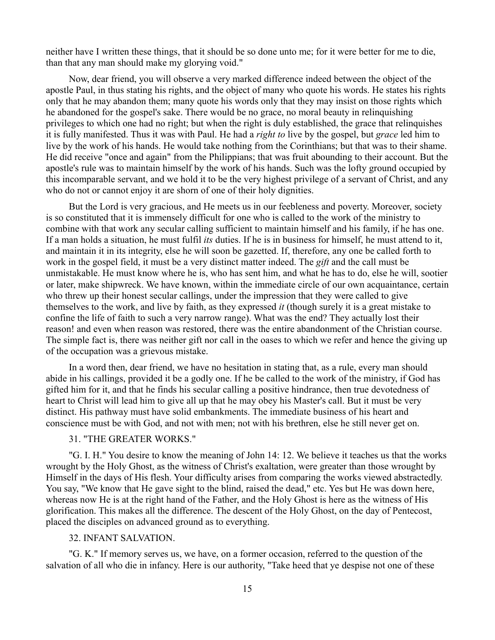neither have I written these things, that it should be so done unto me; for it were better for me to die, than that any man should make my glorying void."

Now, dear friend, you will observe a very marked difference indeed between the object of the apostle Paul, in thus stating his rights, and the object of many who quote his words. He states his rights only that he may abandon them; many quote his words only that they may insist on those rights which he abandoned for the gospel's sake. There would be no grace, no moral beauty in relinquishing privileges to which one had no right; but when the right is duly established, the grace that relinquishes it is fully manifested. Thus it was with Paul. He had a *right to* live by the gospel, but *grace* led him to live by the work of his hands. He would take nothing from the Corinthians; but that was to their shame. He did receive "once and again" from the Philippians; that was fruit abounding to their account. But the apostle's rule was to maintain himself by the work of his hands. Such was the lofty ground occupied by this incomparable servant, and we hold it to be the very highest privilege of a servant of Christ, and any who do not or cannot enjoy it are shorn of one of their holy dignities.

But the Lord is very gracious, and He meets us in our feebleness and poverty. Moreover, society is so constituted that it is immensely difficult for one who is called to the work of the ministry to combine with that work any secular calling sufficient to maintain himself and his family, if he has one. If a man holds a situation, he must fulfil *its* duties. If he is in business for himself, he must attend to it, and maintain it in its integrity, else he will soon be gazetted. If, therefore, any one be called forth to work in the gospel field, it must be a very distinct matter indeed. The *gift* and the call must be unmistakable. He must know where he is, who has sent him, and what he has to do, else he will, sootier or later, make shipwreck. We have known, within the immediate circle of our own acquaintance, certain who threw up their honest secular callings, under the impression that they were called to give themselves to the work, and live by faith, as they expressed *it* (though surely it is a great mistake to confine the life of faith to such a very narrow range). What was the end? They actually lost their reason! and even when reason was restored, there was the entire abandonment of the Christian course. The simple fact is, there was neither gift nor call in the oases to which we refer and hence the giving up of the occupation was a grievous mistake.

In a word then, dear friend, we have no hesitation in stating that, as a rule, every man should abide in his callings, provided it be a godly one. If he be called to the work of the ministry, if God has gifted him for it, and that he finds his secular calling a positive hindrance, then true devotedness of heart to Christ will lead him to give all up that he may obey his Master's call. But it must be very distinct. His pathway must have solid embankments. The immediate business of his heart and conscience must be with God, and not with men; not with his brethren, else he still never get on.

# 31. "THE GREATER WORKS."

"G. I. H." You desire to know the meaning of John 14: 12. We believe it teaches us that the works wrought by the Holy Ghost, as the witness of Christ's exaltation, were greater than those wrought by Himself in the days of His flesh. Your difficulty arises from comparing the works viewed abstractedly. You say, "We know that He gave sight to the blind, raised the dead," etc. Yes but He was down here, whereas now He is at the right hand of the Father, and the Holy Ghost is here as the witness of His glorification. This makes all the difference. The descent of the Holy Ghost, on the day of Pentecost, placed the disciples on advanced ground as to everything.

# 32. INFANT SALVATION.

"G. K." If memory serves us, we have, on a former occasion, referred to the question of the salvation of all who die in infancy. Here is our authority, "Take heed that ye despise not one of these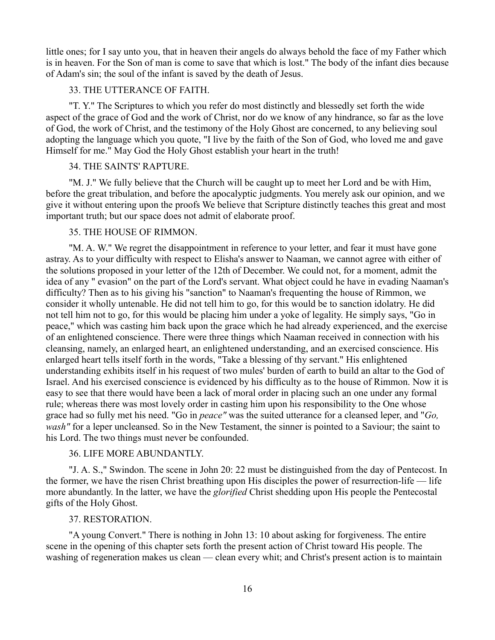little ones; for I say unto you, that in heaven their angels do always behold the face of my Father which is in heaven. For the Son of man is come to save that which is lost." The body of the infant dies because of Adam's sin; the soul of the infant is saved by the death of Jesus.

### 33. THE UTTERANCE OF FAITH.

"T. Y." The Scriptures to which you refer do most distinctly and blessedly set forth the wide aspect of the grace of God and the work of Christ, nor do we know of any hindrance, so far as the love of God, the work of Christ, and the testimony of the Holy Ghost are concerned, to any believing soul adopting the language which you quote, "I live by the faith of the Son of God, who loved me and gave Himself for me." May God the Holy Ghost establish your heart in the truth!

# 34. THE SAINTS' RAPTURE.

"M. J." We fully believe that the Church will be caught up to meet her Lord and be with Him, before the great tribulation, and before the apocalyptic judgments. You merely ask our opinion, and we give it without entering upon the proofs We believe that Scripture distinctly teaches this great and most important truth; but our space does not admit of elaborate proof.

# 35. THE HOUSE OF RIMMON.

"M. A. W." We regret the disappointment in reference to your letter, and fear it must have gone astray. As to your difficulty with respect to Elisha's answer to Naaman, we cannot agree with either of the solutions proposed in your letter of the 12th of December. We could not, for a moment, admit the idea of any " evasion" on the part of the Lord's servant. What object could he have in evading Naaman's difficulty? Then as to his giving his "sanction" to Naaman's frequenting the house of Rimmon, we consider it wholly untenable. He did not tell him to go, for this would be to sanction idolatry. He did not tell him not to go, for this would be placing him under a yoke of legality. He simply says, "Go in peace," which was casting him back upon the grace which he had already experienced, and the exercise of an enlightened conscience. There were three things which Naaman received in connection with his cleansing, namely, an enlarged heart, an enlightened understanding, and an exercised conscience. His enlarged heart tells itself forth in the words, "Take a blessing of thy servant." His enlightened understanding exhibits itself in his request of two mules' burden of earth to build an altar to the God of Israel. And his exercised conscience is evidenced by his difficulty as to the house of Rimmon. Now it is easy to see that there would have been a lack of moral order in placing such an one under any formal rule; whereas there was most lovely order in casting him upon his responsibility to the One whose grace had so fully met his need. "Go in *peace"* was the suited utterance for a cleansed leper, and "*Go, wash"* for a leper uncleansed. So in the New Testament, the sinner is pointed to a Saviour; the saint to his Lord. The two things must never be confounded.

### 36. LIFE MORE ABUNDANTLY.

"J. A. S.," Swindon. The scene in John 20: 22 must be distinguished from the day of Pentecost. In the former, we have the risen Christ breathing upon His disciples the power of resurrection-life — life more abundantly. In the latter, we have the *glorified* Christ shedding upon His people the Pentecostal gifts of the Holy Ghost.

### 37. RESTORATION.

"A young Convert." There is nothing in John 13: 10 about asking for forgiveness. The entire scene in the opening of this chapter sets forth the present action of Christ toward His people. The washing of regeneration makes us clean — clean every whit; and Christ's present action is to maintain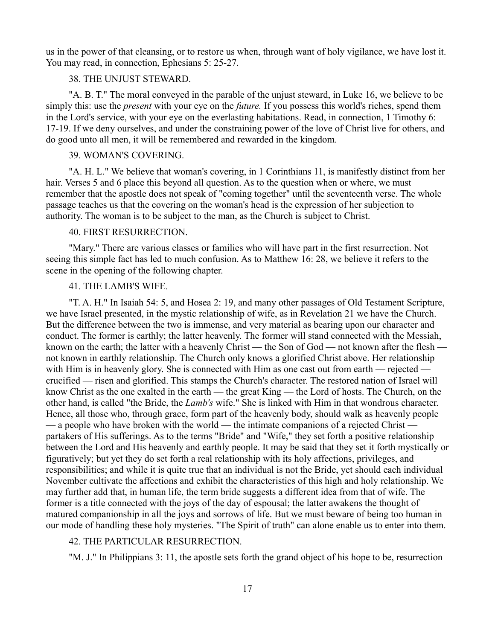us in the power of that cleansing, or to restore us when, through want of holy vigilance, we have lost it. You may read, in connection, Ephesians 5: 25-27.

# 38. THE UNJUST STEWARD.

"A. B. T." The moral conveyed in the parable of the unjust steward, in Luke 16, we believe to be simply this: use the *present* with your eye on the *future.* If you possess this world's riches, spend them in the Lord's service, with your eye on the everlasting habitations. Read, in connection, 1 Timothy 6: 17-19. If we deny ourselves, and under the constraining power of the love of Christ live for others, and do good unto all men, it will be remembered and rewarded in the kingdom.

# 39. WOMAN'S COVERING.

"A. H. L." We believe that woman's covering, in 1 Corinthians 11, is manifestly distinct from her hair. Verses 5 and 6 place this beyond all question. As to the question when or where, we must remember that the apostle does not speak of "coming together" until the seventeenth verse. The whole passage teaches us that the covering on the woman's head is the expression of her subjection to authority. The woman is to be subject to the man, as the Church is subject to Christ.

## 40. FIRST RESURRECTION.

"Mary." There are various classes or families who will have part in the first resurrection. Not seeing this simple fact has led to much confusion. As to Matthew 16: 28, we believe it refers to the scene in the opening of the following chapter.

# 41. THE LAMB'S WIFE.

"T. A. H." In Isaiah 54: 5, and Hosea 2: 19, and many other passages of Old Testament Scripture, we have Israel presented, in the mystic relationship of wife, as in Revelation 21 we have the Church. But the difference between the two is immense, and very material as bearing upon our character and conduct. The former is earthly; the latter heavenly. The former will stand connected with the Messiah, known on the earth; the latter with a heavenly Christ — the Son of God — not known after the flesh not known in earthly relationship. The Church only knows a glorified Christ above. Her relationship with Him is in heavenly glory. She is connected with Him as one cast out from earth — rejected crucified — risen and glorified. This stamps the Church's character. The restored nation of Israel will know Christ as the one exalted in the earth — the great King — the Lord of hosts. The Church, on the other hand, is called "the Bride, the *Lamb's* wife." She is linked with Him in that wondrous character. Hence, all those who, through grace, form part of the heavenly body, should walk as heavenly people — a people who have broken with the world — the intimate companions of a rejected Christ partakers of His sufferings. As to the terms "Bride" and "Wife," they set forth a positive relationship between the Lord and His heavenly and earthly people. It may be said that they set it forth mystically or figuratively; but yet they do set forth a real relationship with its holy affections, privileges, and responsibilities; and while it is quite true that an individual is not the Bride, yet should each individual November cultivate the affections and exhibit the characteristics of this high and holy relationship. We may further add that, in human life, the term bride suggests a different idea from that of wife. The former is a title connected with the joys of the day of espousal; the latter awakens the thought of matured companionship in all the joys and sorrows of life. But we must beware of being too human in our mode of handling these holy mysteries. "The Spirit of truth" can alone enable us to enter into them.

#### 42. THE PARTICULAR RESURRECTION.

"M. J." In Philippians 3: 11, the apostle sets forth the grand object of his hope to be, resurrection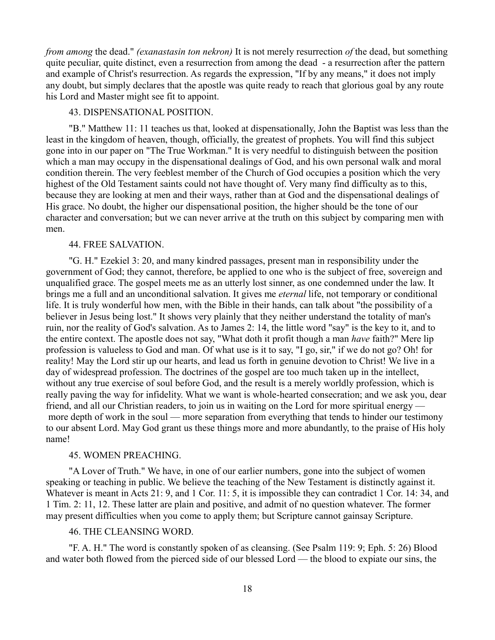*from among* the dead." *(exanastasin ton nekron)* It is not merely resurrection *of* the dead, but something quite peculiar, quite distinct, even a resurrection from among the dead - a resurrection after the pattern and example of Christ's resurrection. As regards the expression, "If by any means," it does not imply any doubt, but simply declares that the apostle was quite ready to reach that glorious goal by any route his Lord and Master might see fit to appoint.

## 43. DISPENSATIONAL POSITION.

"B." Matthew 11: 11 teaches us that, looked at dispensationally, John the Baptist was less than the least in the kingdom of heaven, though, officially, the greatest of prophets. You will find this subject gone into in our paper on "The True Workman." It is very needful to distinguish between the position which a man may occupy in the dispensational dealings of God, and his own personal walk and moral condition therein. The very feeblest member of the Church of God occupies a position which the very highest of the Old Testament saints could not have thought of. Very many find difficulty as to this, because they are looking at men and their ways, rather than at God and the dispensational dealings of His grace. No doubt, the higher our dispensational position, the higher should be the tone of our character and conversation; but we can never arrive at the truth on this subject by comparing men with men.

# 44. FREE SALVATION.

"G. H." Ezekiel 3: 20, and many kindred passages, present man in responsibility under the government of God; they cannot, therefore, be applied to one who is the subject of free, sovereign and unqualified grace. The gospel meets me as an utterly lost sinner, as one condemned under the law. It brings me a full and an unconditional salvation. It gives me *eternal* life, not temporary or conditional life. It is truly wonderful how men, with the Bible in their hands, can talk about "the possibility of a believer in Jesus being lost." It shows very plainly that they neither understand the totality of man's ruin, nor the reality of God's salvation. As to James 2: 14, the little word "say" is the key to it, and to the entire context. The apostle does not say, "What doth it profit though a man *have* faith?" Mere lip profession is valueless to God and man. Of what use is it to say, "I go, sir," if we do not go? Oh! for reality! May the Lord stir up our hearts, and lead us forth in genuine devotion to Christ! We live in a day of widespread profession. The doctrines of the gospel are too much taken up in the intellect, without any true exercise of soul before God, and the result is a merely worldly profession, which is really paving the way for infidelity. What we want is whole-hearted consecration; and we ask you, dear friend, and all our Christian readers, to join us in waiting on the Lord for more spiritual energy more depth of work in the soul — more separation from everything that tends to hinder our testimony to our absent Lord. May God grant us these things more and more abundantly, to the praise of His holy name!

#### 45. WOMEN PREACHING.

"A Lover of Truth." We have, in one of our earlier numbers, gone into the subject of women speaking or teaching in public. We believe the teaching of the New Testament is distinctly against it. Whatever is meant in Acts 21: 9, and 1 Cor. 11: 5, it is impossible they can contradict 1 Cor. 14: 34, and 1 Tim. 2: 11, 12. These latter are plain and positive, and admit of no question whatever. The former may present difficulties when you come to apply them; but Scripture cannot gainsay Scripture.

#### 46. THE CLEANSING WORD.

"F. A. H." The word is constantly spoken of as cleansing. (See Psalm 119: 9; Eph. 5: 26) Blood and water both flowed from the pierced side of our blessed Lord — the blood to expiate our sins, the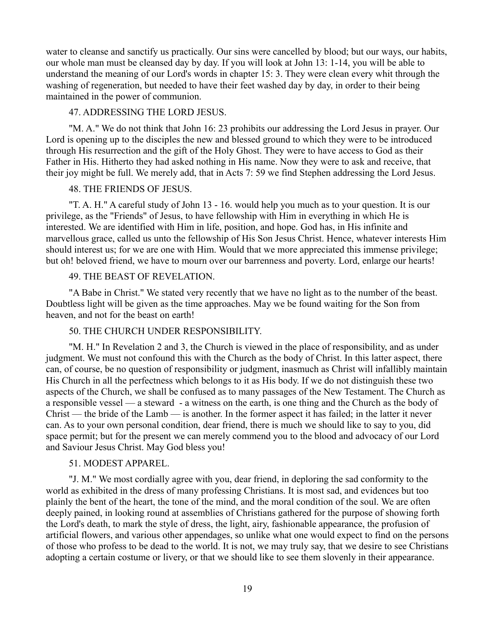water to cleanse and sanctify us practically. Our sins were cancelled by blood; but our ways, our habits, our whole man must be cleansed day by day. If you will look at John 13: 1-14, you will be able to understand the meaning of our Lord's words in chapter 15: 3. They were clean every whit through the washing of regeneration, but needed to have their feet washed day by day, in order to their being maintained in the power of communion.

# 47. ADDRESSING THE LORD JESUS.

"M. A." We do not think that John 16: 23 prohibits our addressing the Lord Jesus in prayer. Our Lord is opening up to the disciples the new and blessed ground to which they were to be introduced through His resurrection and the gift of the Holy Ghost. They were to have access to God as their Father in His. Hitherto they had asked nothing in His name. Now they were to ask and receive, that their joy might be full. We merely add, that in Acts 7: 59 we find Stephen addressing the Lord Jesus.

# 48. THE FRIENDS OF JESUS.

"T. A. H." A careful study of John 13 - 16. would help you much as to your question. It is our privilege, as the "Friends" of Jesus, to have fellowship with Him in everything in which He is interested. We are identified with Him in life, position, and hope. God has, in His infinite and marvellous grace, called us unto the fellowship of His Son Jesus Christ. Hence, whatever interests Him should interest us; for we are one with Him. Would that we more appreciated this immense privilege; but oh! beloved friend, we have to mourn over our barrenness and poverty. Lord, enlarge our hearts!

# 49. THE BEAST OF REVELATION.

"A Babe in Christ." We stated very recently that we have no light as to the number of the beast. Doubtless light will be given as the time approaches. May we be found waiting for the Son from heaven, and not for the beast on earth!

# 50. THE CHURCH UNDER RESPONSIBILITY.

"M. H." In Revelation 2 and 3, the Church is viewed in the place of responsibility, and as under judgment. We must not confound this with the Church as the body of Christ. In this latter aspect, there can, of course, be no question of responsibility or judgment, inasmuch as Christ will infallibly maintain His Church in all the perfectness which belongs to it as His body. If we do not distinguish these two aspects of the Church, we shall be confused as to many passages of the New Testament. The Church as a responsible vessel — a steward - a witness on the earth, is one thing and the Church as the body of Christ — the bride of the Lamb — is another. In the former aspect it has failed; in the latter it never can. As to your own personal condition, dear friend, there is much we should like to say to you, did space permit; but for the present we can merely commend you to the blood and advocacy of our Lord and Saviour Jesus Christ. May God bless you!

#### 51. MODEST APPAREL.

"J. M." We most cordially agree with you, dear friend, in deploring the sad conformity to the world as exhibited in the dress of many professing Christians. It is most sad, and evidences but too plainly the bent of the heart, the tone of the mind, and the moral condition of the soul. We are often deeply pained, in looking round at assemblies of Christians gathered for the purpose of showing forth the Lord's death, to mark the style of dress, the light, airy, fashionable appearance, the profusion of artificial flowers, and various other appendages, so unlike what one would expect to find on the persons of those who profess to be dead to the world. It is not, we may truly say, that we desire to see Christians adopting a certain costume or livery, or that we should like to see them slovenly in their appearance.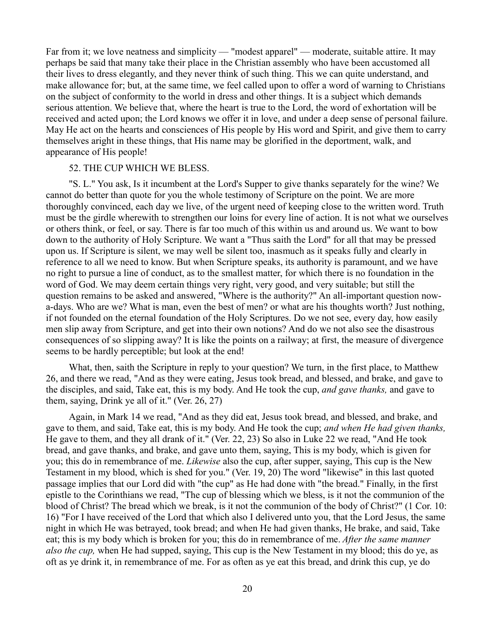Far from it; we love neatness and simplicity — "modest apparel" — moderate, suitable attire. It may perhaps be said that many take their place in the Christian assembly who have been accustomed all their lives to dress elegantly, and they never think of such thing. This we can quite understand, and make allowance for; but, at the same time, we feel called upon to offer a word of warning to Christians on the subject of conformity to the world in dress and other things. It is a subject which demands serious attention. We believe that, where the heart is true to the Lord, the word of exhortation will be received and acted upon; the Lord knows we offer it in love, and under a deep sense of personal failure. May He act on the hearts and consciences of His people by His word and Spirit, and give them to carry themselves aright in these things, that His name may be glorified in the deportment, walk, and appearance of His people!

#### 52. THE CUP WHICH WE BLESS.

"S. L." You ask, Is it incumbent at the Lord's Supper to give thanks separately for the wine? We cannot do better than quote for you the whole testimony of Scripture on the point. We are more thoroughly convinced, each day we live, of the urgent need of keeping close to the written word. Truth must be the girdle wherewith to strengthen our loins for every line of action. It is not what we ourselves or others think, or feel, or say. There is far too much of this within us and around us. We want to bow down to the authority of Holy Scripture. We want a "Thus saith the Lord" for all that may be pressed upon us. If Scripture is silent, we may well be silent too, inasmuch as it speaks fully and clearly in reference to all we need to know. But when Scripture speaks, its authority is paramount, and we have no right to pursue a line of conduct, as to the smallest matter, for which there is no foundation in the word of God. We may deem certain things very right, very good, and very suitable; but still the question remains to be asked and answered, "Where is the authority?" An all-important question nowa-days. Who are we? What is man, even the best of men? or what are his thoughts worth? Just nothing, if not founded on the eternal foundation of the Holy Scriptures. Do we not see, every day, how easily men slip away from Scripture, and get into their own notions? And do we not also see the disastrous consequences of so slipping away? It is like the points on a railway; at first, the measure of divergence seems to be hardly perceptible; but look at the end!

What, then, saith the Scripture in reply to your question? We turn, in the first place, to Matthew 26, and there we read, "And as they were eating, Jesus took bread, and blessed, and brake, and gave to the disciples, and said, Take eat, this is my body. And He took the cup, *and gave thanks,* and gave to them, saying, Drink ye all of it." (Ver. 26, 27)

Again, in Mark 14 we read, "And as they did eat, Jesus took bread, and blessed, and brake, and gave to them, and said, Take eat, this is my body. And He took the cup; *and when He had given thanks,* He gave to them, and they all drank of it." (Ver. 22, 23) So also in Luke 22 we read, "And He took bread, and gave thanks, and brake, and gave unto them, saying, This is my body, which is given for you; this do in remembrance of me. *Likewise* also the cup, after supper, saying, This cup is the New Testament in my blood, which is shed for you." (Ver. 19, 20) The word "likewise" in this last quoted passage implies that our Lord did with "the cup" as He had done with "the bread." Finally, in the first epistle to the Corinthians we read, "The cup of blessing which we bless, is it not the communion of the blood of Christ? The bread which we break, is it not the communion of the body of Christ?" (1 Cor. 10: 16) "For I have received of the Lord that which also I delivered unto you, that the Lord Jesus, the same night in which He was betrayed, took bread; and when He had given thanks, He brake, and said, Take eat; this is my body which is broken for you; this do in remembrance of me. *After the same manner also the cup,* when He had supped, saying, This cup is the New Testament in my blood; this do ye, as oft as ye drink it, in remembrance of me. For as often as ye eat this bread, and drink this cup, ye do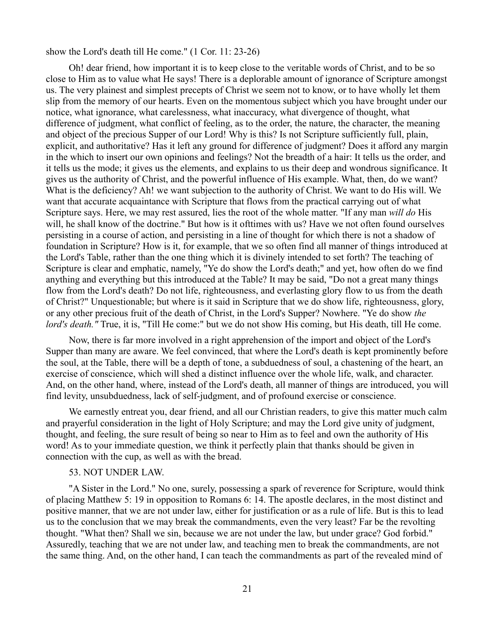show the Lord's death till He come." (1 Cor. 11: 23-26)

Oh! dear friend, how important it is to keep close to the veritable words of Christ, and to be so close to Him as to value what He says! There is a deplorable amount of ignorance of Scripture amongst us. The very plainest and simplest precepts of Christ we seem not to know, or to have wholly let them slip from the memory of our hearts. Even on the momentous subject which you have brought under our notice, what ignorance, what carelessness, what inaccuracy, what divergence of thought, what difference of judgment, what conflict of feeling, as to the order, the nature, the character, the meaning and object of the precious Supper of our Lord! Why is this? Is not Scripture sufficiently full, plain, explicit, and authoritative? Has it left any ground for difference of judgment? Does it afford any margin in the which to insert our own opinions and feelings? Not the breadth of a hair: It tells us the order, and it tells us the mode; it gives us the elements, and explains to us their deep and wondrous significance. It gives us the authority of Christ, and the powerful influence of His example. What, then, do we want? What is the deficiency? Ah! we want subjection to the authority of Christ. We want to do His will. We want that accurate acquaintance with Scripture that flows from the practical carrying out of what Scripture says. Here, we may rest assured, lies the root of the whole matter. "If any man *will do* His will, he shall know of the doctrine." But how is it ofttimes with us? Have we not often found ourselves persisting in a course of action, and persisting in a line of thought for which there is not a shadow of foundation in Scripture? How is it, for example, that we so often find all manner of things introduced at the Lord's Table, rather than the one thing which it is divinely intended to set forth? The teaching of Scripture is clear and emphatic, namely, "Ye do show the Lord's death;" and yet, how often do we find anything and everything but this introduced at the Table? It may be said, "Do not a great many things flow from the Lord's death? Do not life, righteousness, and everlasting glory flow to us from the death of Christ?" Unquestionable; but where is it said in Scripture that we do show life, righteousness, glory, or any other precious fruit of the death of Christ, in the Lord's Supper? Nowhere. "Ye do show *the lord's death."* True, it is, "Till He come:" but we do not show His coming, but His death, till He come.

Now, there is far more involved in a right apprehension of the import and object of the Lord's Supper than many are aware. We feel convinced, that where the Lord's death is kept prominently before the soul, at the Table, there will be a depth of tone, a subduedness of soul, a chastening of the heart, an exercise of conscience, which will shed a distinct influence over the whole life, walk, and character. And, on the other hand, where, instead of the Lord's death, all manner of things are introduced, you will find levity, unsubduedness, lack of self-judgment, and of profound exercise or conscience.

We earnestly entreat you, dear friend, and all our Christian readers, to give this matter much calm and prayerful consideration in the light of Holy Scripture; and may the Lord give unity of judgment, thought, and feeling, the sure result of being so near to Him as to feel and own the authority of His word! As to your immediate question, we think it perfectly plain that thanks should be given in connection with the cup, as well as with the bread.

# 53. NOT UNDER LAW.

"A Sister in the Lord." No one, surely, possessing a spark of reverence for Scripture, would think of placing Matthew 5: 19 in opposition to Romans 6: 14. The apostle declares, in the most distinct and positive manner, that we are not under law, either for justification or as a rule of life. But is this to lead us to the conclusion that we may break the commandments, even the very least? Far be the revolting thought. "What then? Shall we sin, because we are not under the law, but under grace? God forbid." Assuredly, teaching that we are not under law, and teaching men to break the commandments, are not the same thing. And, on the other hand, I can teach the commandments as part of the revealed mind of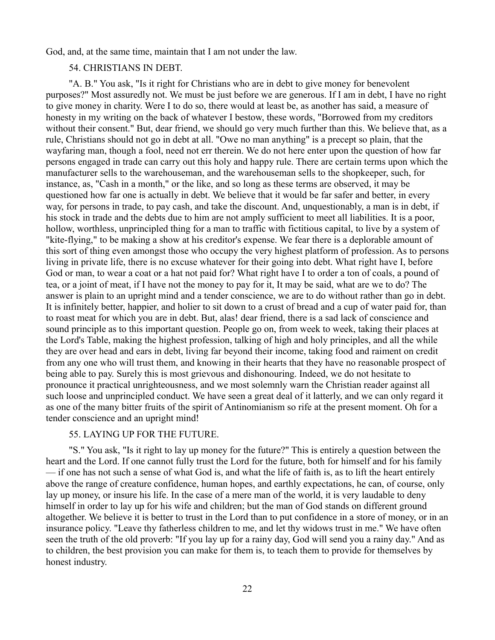God, and, at the same time, maintain that I am not under the law.

# 54. CHRISTIANS IN DEBT.

"A. B." You ask, "Is it right for Christians who are in debt to give money for benevolent purposes?" Most assuredly not. We must be just before we are generous. If I am in debt, I have no right to give money in charity. Were I to do so, there would at least be, as another has said, a measure of honesty in my writing on the back of whatever I bestow, these words, "Borrowed from my creditors without their consent." But, dear friend, we should go very much further than this. We believe that, as a rule, Christians should not go in debt at all. "Owe no man anything" is a precept so plain, that the wayfaring man, though a fool, need not err therein. We do not here enter upon the question of how far persons engaged in trade can carry out this holy and happy rule. There are certain terms upon which the manufacturer sells to the warehouseman, and the warehouseman sells to the shopkeeper, such, for instance, as, "Cash in a month," or the like, and so long as these terms are observed, it may be questioned how far one is actually in debt. We believe that it would be far safer and better, in every way, for persons in trade, to pay cash, and take the discount. And, unquestionably, a man is in debt, if his stock in trade and the debts due to him are not amply sufficient to meet all liabilities. It is a poor, hollow, worthless, unprincipled thing for a man to traffic with fictitious capital, to live by a system of "kite-flying," to be making a show at his creditor's expense. We fear there is a deplorable amount of this sort of thing even amongst those who occupy the very highest platform of profession. As to persons living in private life, there is no excuse whatever for their going into debt. What right have I, before God or man, to wear a coat or a hat not paid for? What right have I to order a ton of coals, a pound of tea, or a joint of meat, if I have not the money to pay for it, It may be said, what are we to do? The answer is plain to an upright mind and a tender conscience, we are to do without rather than go in debt. It is infinitely better, happier, and holier to sit down to a crust of bread and a cup of water paid for, than to roast meat for which you are in debt. But, alas! dear friend, there is a sad lack of conscience and sound principle as to this important question. People go on, from week to week, taking their places at the Lord's Table, making the highest profession, talking of high and holy principles, and all the while they are over head and ears in debt, living far beyond their income, taking food and raiment on credit from any one who will trust them, and knowing in their hearts that they have no reasonable prospect of being able to pay. Surely this is most grievous and dishonouring. Indeed, we do not hesitate to pronounce it practical unrighteousness, and we most solemnly warn the Christian reader against all such loose and unprincipled conduct. We have seen a great deal of it latterly, and we can only regard it as one of the many bitter fruits of the spirit of Antinomianism so rife at the present moment. Oh for a tender conscience and an upright mind!

# 55. LAYING UP FOR THE FUTURE.

"S." You ask, "Is it right to lay up money for the future?" This is entirely a question between the heart and the Lord. If one cannot fully trust the Lord for the future, both for himself and for his family — if one has not such a sense of what God is, and what the life of faith is, as to lift the heart entirely above the range of creature confidence, human hopes, and earthly expectations, he can, of course, only lay up money, or insure his life. In the case of a mere man of the world, it is very laudable to deny himself in order to lay up for his wife and children; but the man of God stands on different ground altogether. We believe it is better to trust in the Lord than to put confidence in a store of money, or in an insurance policy. "Leave thy fatherless children to me, and let thy widows trust in me." We have often seen the truth of the old proverb: "If you lay up for a rainy day, God will send you a rainy day." And as to children, the best provision you can make for them is, to teach them to provide for themselves by honest industry.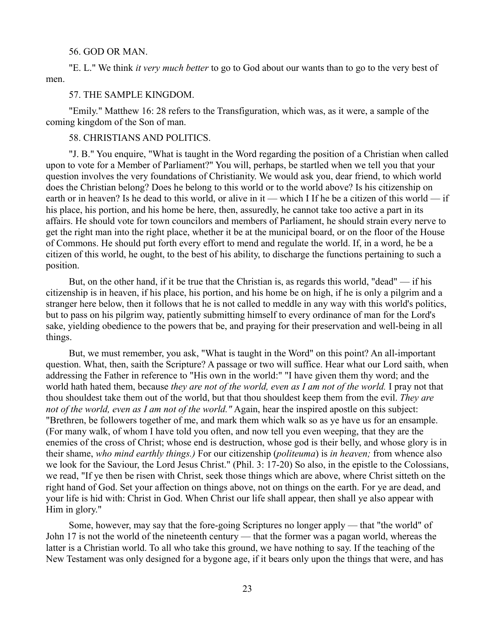#### 56. GOD OR MAN.

"E. L." We think *it very much better* to go to God about our wants than to go to the very best of men.

#### 57. THE SAMPLE KINGDOM.

"Emily." Matthew 16: 28 refers to the Transfiguration, which was, as it were, a sample of the coming kingdom of the Son of man.

## 58. CHRISTIANS AND POLITICS.

"J. B." You enquire, "What is taught in the Word regarding the position of a Christian when called upon to vote for a Member of Parliament?" You will, perhaps, be startled when we tell you that your question involves the very foundations of Christianity. We would ask you, dear friend, to which world does the Christian belong? Does he belong to this world or to the world above? Is his citizenship on earth or in heaven? Is he dead to this world, or alive in it — which I If he be a citizen of this world — if his place, his portion, and his home be here, then, assuredly, he cannot take too active a part in its affairs. He should vote for town councilors and members of Parliament, he should strain every nerve to get the right man into the right place, whether it be at the municipal board, or on the floor of the House of Commons. He should put forth every effort to mend and regulate the world. If, in a word, he be a citizen of this world, he ought, to the best of his ability, to discharge the functions pertaining to such a position.

But, on the other hand, if it be true that the Christian is, as regards this world, "dead" — if his citizenship is in heaven, if his place, his portion, and his home be on high, if he is only a pilgrim and a stranger here below, then it follows that he is not called to meddle in any way with this world's politics, but to pass on his pilgrim way, patiently submitting himself to every ordinance of man for the Lord's sake, yielding obedience to the powers that be, and praying for their preservation and well-being in all things.

But, we must remember, you ask, "What is taught in the Word" on this point? An all-important question. What, then, saith the Scripture? A passage or two will suffice. Hear what our Lord saith, when addressing the Father in reference to "His own in the world:" "I have given them thy word; and the world hath hated them, because *they are not of the world, even as I am not of the world.* I pray not that thou shouldest take them out of the world, but that thou shouldest keep them from the evil. *They are not of the world, even as I am not of the world."* Again, hear the inspired apostle on this subject: "Brethren, be followers together of me, and mark them which walk so as ye have us for an ensample. (For many walk, of whom I have told you often, and now tell you even weeping, that they are the enemies of the cross of Christ; whose end is destruction, whose god is their belly, and whose glory is in their shame, *who mind earthly things.)* For our citizenship (*politeuma*) is *in heaven;* from whence also we look for the Saviour, the Lord Jesus Christ." (Phil. 3: 17-20) So also, in the epistle to the Colossians, we read, "If ye then be risen with Christ, seek those things which are above, where Christ sitteth on the right hand of God. Set your affection on things above, not on things on the earth. For ye are dead, and your life is hid with: Christ in God. When Christ our life shall appear, then shall ye also appear with Him in glory."

Some, however, may say that the fore-going Scriptures no longer apply — that "the world" of John 17 is not the world of the nineteenth century — that the former was a pagan world, whereas the latter is a Christian world. To all who take this ground, we have nothing to say. If the teaching of the New Testament was only designed for a bygone age, if it bears only upon the things that were, and has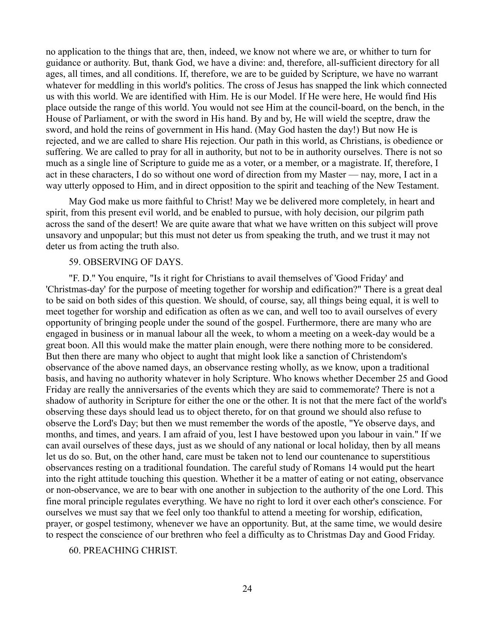no application to the things that are, then, indeed, we know not where we are, or whither to turn for guidance or authority. But, thank God, we have a divine: and, therefore, all-sufficient directory for all ages, all times, and all conditions. If, therefore, we are to be guided by Scripture, we have no warrant whatever for meddling in this world's politics. The cross of Jesus has snapped the link which connected us with this world. We are identified with Him. He is our Model. If He were here, He would find His place outside the range of this world. You would not see Him at the council-board, on the bench, in the House of Parliament, or with the sword in His hand. By and by, He will wield the sceptre, draw the sword, and hold the reins of government in His hand. (May God hasten the day!) But now He is rejected, and we are called to share His rejection. Our path in this world, as Christians, is obedience or suffering. We are called to pray for all in authority, but not to be in authority ourselves. There is not so much as a single line of Scripture to guide me as a voter, or a member, or a magistrate. If, therefore, I act in these characters, I do so without one word of direction from my Master — nay, more, I act in a way utterly opposed to Him, and in direct opposition to the spirit and teaching of the New Testament.

May God make us more faithful to Christ! May we be delivered more completely, in heart and spirit, from this present evil world, and be enabled to pursue, with holy decision, our pilgrim path across the sand of the desert! We are quite aware that what we have written on this subject will prove unsavory and unpopular; but this must not deter us from speaking the truth, and we trust it may not deter us from acting the truth also.

## 59. OBSERVING OF DAYS.

"F. D." You enquire, "Is it right for Christians to avail themselves of 'Good Friday' and 'Christmas-day' for the purpose of meeting together for worship and edification?" There is a great deal to be said on both sides of this question. We should, of course, say, all things being equal, it is well to meet together for worship and edification as often as we can, and well too to avail ourselves of every opportunity of bringing people under the sound of the gospel. Furthermore, there are many who are engaged in business or in manual labour all the week, to whom a meeting on a week-day would be a great boon. All this would make the matter plain enough, were there nothing more to be considered. But then there are many who object to aught that might look like a sanction of Christendom's observance of the above named days, an observance resting wholly, as we know, upon a traditional basis, and having no authority whatever in holy Scripture. Who knows whether December 25 and Good Friday are really the anniversaries of the events which they are said to commemorate? There is not a shadow of authority in Scripture for either the one or the other. It is not that the mere fact of the world's observing these days should lead us to object thereto, for on that ground we should also refuse to observe the Lord's Day; but then we must remember the words of the apostle, "Ye observe days, and months, and times, and years. I am afraid of you, lest I have bestowed upon you labour in vain." If we can avail ourselves of these days, just as we should of any national or local holiday, then by all means let us do so. But, on the other hand, care must be taken not to lend our countenance to superstitious observances resting on a traditional foundation. The careful study of Romans 14 would put the heart into the right attitude touching this question. Whether it be a matter of eating or not eating, observance or non-observance, we are to bear with one another in subjection to the authority of the one Lord. This fine moral principle regulates everything. We have no right to lord it over each other's conscience. For ourselves we must say that we feel only too thankful to attend a meeting for worship, edification, prayer, or gospel testimony, whenever we have an opportunity. But, at the same time, we would desire to respect the conscience of our brethren who feel a difficulty as to Christmas Day and Good Friday.

### 60. PREACHING CHRIST.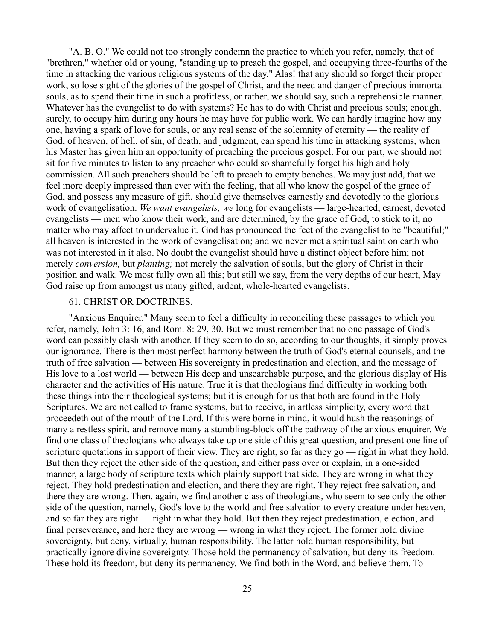"A. B. O." We could not too strongly condemn the practice to which you refer, namely, that of "brethren," whether old or young, "standing up to preach the gospel, and occupying three-fourths of the time in attacking the various religious systems of the day." Alas! that any should so forget their proper work, so lose sight of the glories of the gospel of Christ, and the need and danger of precious immortal souls, as to spend their time in such a profitless, or rather, we should say, such a reprehensible manner. Whatever has the evangelist to do with systems? He has to do with Christ and precious souls; enough, surely, to occupy him during any hours he may have for public work. We can hardly imagine how any one, having a spark of love for souls, or any real sense of the solemnity of eternity — the reality of God, of heaven, of hell, of sin, of death, and judgment, can spend his time in attacking systems, when his Master has given him an opportunity of preaching the precious gospel. For our part, we should not sit for five minutes to listen to any preacher who could so shamefully forget his high and holy commission. All such preachers should be left to preach to empty benches. We may just add, that we feel more deeply impressed than ever with the feeling, that all who know the gospel of the grace of God, and possess any measure of gift, should give themselves earnestly and devotedly to the glorious work of evangelisation. *We want evangelists, we* long for evangelists — large-hearted, earnest, devoted evangelists — men who know their work, and are determined, by the grace of God, to stick to it, no matter who may affect to undervalue it. God has pronounced the feet of the evangelist to be "beautiful;" all heaven is interested in the work of evangelisation; and we never met a spiritual saint on earth who was not interested in it also. No doubt the evangelist should have a distinct object before him; not merely *conversion,* but *planting;* not merely the salvation of souls, but the glory of Christ in their position and walk. We most fully own all this; but still we say, from the very depths of our heart, May God raise up from amongst us many gifted, ardent, whole-hearted evangelists.

## 61. CHRIST OR DOCTRINES.

"Anxious Enquirer." Many seem to feel a difficulty in reconciling these passages to which you refer, namely, John 3: 16, and Rom. 8: 29, 30. But we must remember that no one passage of God's word can possibly clash with another. If they seem to do so, according to our thoughts, it simply proves our ignorance. There is then most perfect harmony between the truth of God's eternal counsels, and the truth of free salvation — between His sovereignty in predestination and election, and the message of His love to a lost world — between His deep and unsearchable purpose, and the glorious display of His character and the activities of His nature. True it is that theologians find difficulty in working both these things into their theological systems; but it is enough for us that both are found in the Holy Scriptures. We are not called to frame systems, but to receive, in artless simplicity, every word that proceedeth out of the mouth of the Lord. If this were borne in mind, it would hush the reasonings of many a restless spirit, and remove many a stumbling-block off the pathway of the anxious enquirer. We find one class of theologians who always take up one side of this great question, and present one line of scripture quotations in support of their view. They are right, so far as they go — right in what they hold. But then they reject the other side of the question, and either pass over or explain, in a one-sided manner, a large body of scripture texts which plainly support that side. They are wrong in what they reject. They hold predestination and election, and there they are right. They reject free salvation, and there they are wrong. Then, again, we find another class of theologians, who seem to see only the other side of the question, namely, God's love to the world and free salvation to every creature under heaven, and so far they are right — right in what they hold. But then they reject predestination, election, and final perseverance, and here they are wrong — wrong in what they reject. The former hold divine sovereignty, but deny, virtually, human responsibility. The latter hold human responsibility, but practically ignore divine sovereignty. Those hold the permanency of salvation, but deny its freedom. These hold its freedom, but deny its permanency. We find both in the Word, and believe them. To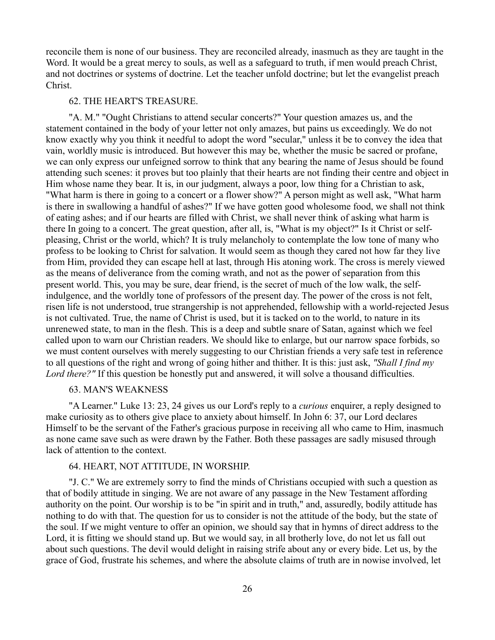reconcile them is none of our business. They are reconciled already, inasmuch as they are taught in the Word. It would be a great mercy to souls, as well as a safeguard to truth, if men would preach Christ, and not doctrines or systems of doctrine. Let the teacher unfold doctrine; but let the evangelist preach Christ.

### 62. THE HEART'S TREASURE.

"A. M." "Ought Christians to attend secular concerts?" Your question amazes us, and the statement contained in the body of your letter not only amazes, but pains us exceedingly. We do not know exactly why you think it needful to adopt the word "secular," unless it be to convey the idea that vain, worldly music is introduced. But however this may be, whether the music be sacred or profane, we can only express our unfeigned sorrow to think that any bearing the name of Jesus should be found attending such scenes: it proves but too plainly that their hearts are not finding their centre and object in Him whose name they bear. It is, in our judgment, always a poor, low thing for a Christian to ask, "What harm is there in going to a concert or a flower show?" A person might as well ask, "What harm is there in swallowing a handful of ashes?" If we have gotten good wholesome food, we shall not think of eating ashes; and if our hearts are filled with Christ, we shall never think of asking what harm is there In going to a concert. The great question, after all, is, "What is my object?" Is it Christ or selfpleasing, Christ or the world, which? It is truly melancholy to contemplate the low tone of many who profess to be looking to Christ for salvation. It would seem as though they cared not how far they live from Him, provided they can escape hell at last, through His atoning work. The cross is merely viewed as the means of deliverance from the coming wrath, and not as the power of separation from this present world. This, you may be sure, dear friend, is the secret of much of the low walk, the selfindulgence, and the worldly tone of professors of the present day. The power of the cross is not felt, risen life is not understood, true strangership is not apprehended, fellowship with a world-rejected Jesus is not cultivated. True, the name of Christ is used, but it is tacked on to the world, to nature in its unrenewed state, to man in the flesh. This is a deep and subtle snare of Satan, against which we feel called upon to warn our Christian readers. We should like to enlarge, but our narrow space forbids, so we must content ourselves with merely suggesting to our Christian friends a very safe test in reference to all questions of the right and wrong of going hither and thither. It is this: just ask, *"Shall I find my Lord there?"* If this question be honestly put and answered, it will solve a thousand difficulties.

### 63. MAN'S WEAKNESS

"A Learner." Luke 13: 23, 24 gives us our Lord's reply to a *curious* enquirer, a reply designed to make curiosity as to others give place to anxiety about himself. In John 6: 37, our Lord declares Himself to be the servant of the Father's gracious purpose in receiving all who came to Him, inasmuch as none came save such as were drawn by the Father. Both these passages are sadly misused through lack of attention to the context.

# 64. HEART, NOT ATTITUDE, IN WORSHIP.

"J. C." We are extremely sorry to find the minds of Christians occupied with such a question as that of bodily attitude in singing. We are not aware of any passage in the New Testament affording authority on the point. Our worship is to be "in spirit and in truth," and, assuredly, bodily attitude has nothing to do with that. The question for us to consider is not the attitude of the body, but the state of the soul. If we might venture to offer an opinion, we should say that in hymns of direct address to the Lord, it is fitting we should stand up. But we would say, in all brotherly love, do not let us fall out about such questions. The devil would delight in raising strife about any or every bide. Let us, by the grace of God, frustrate his schemes, and where the absolute claims of truth are in nowise involved, let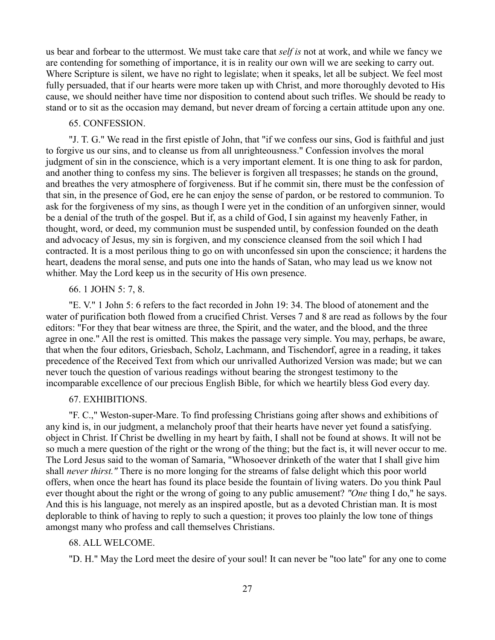us bear and forbear to the uttermost. We must take care that *self is* not at work, and while we fancy we are contending for something of importance, it is in reality our own will we are seeking to carry out. Where Scripture is silent, we have no right to legislate; when it speaks, let all be subject. We feel most fully persuaded, that if our hearts were more taken up with Christ, and more thoroughly devoted to His cause, we should neither have time nor disposition to contend about such trifles. We should be ready to stand or to sit as the occasion may demand, but never dream of forcing a certain attitude upon any one.

#### 65. CONFESSION.

"J. T. G." We read in the first epistle of John, that "if we confess our sins, God is faithful and just to forgive us our sins, and to cleanse us from all unrighteousness." Confession involves the moral judgment of sin in the conscience, which is a very important element. It is one thing to ask for pardon, and another thing to confess my sins. The believer is forgiven all trespasses; he stands on the ground, and breathes the very atmosphere of forgiveness. But if he commit sin, there must be the confession of that sin, in the presence of God, ere he can enjoy the sense of pardon, or be restored to communion. To ask for the forgiveness of my sins, as though I were yet in the condition of an unforgiven sinner, would be a denial of the truth of the gospel. But if, as a child of God, I sin against my heavenly Father, in thought, word, or deed, my communion must be suspended until, by confession founded on the death and advocacy of Jesus, my sin is forgiven, and my conscience cleansed from the soil which I had contracted. It is a most perilous thing to go on with unconfessed sin upon the conscience; it hardens the heart, deadens the moral sense, and puts one into the hands of Satan, who may lead us we know not whither. May the Lord keep us in the security of His own presence.

#### 66. 1 JOHN 5: 7, 8.

"E. V." 1 John 5: 6 refers to the fact recorded in John 19: 34. The blood of atonement and the water of purification both flowed from a crucified Christ. Verses 7 and 8 are read as follows by the four editors: "For they that bear witness are three, the Spirit, and the water, and the blood, and the three agree in one." All the rest is omitted. This makes the passage very simple. You may, perhaps, be aware, that when the four editors, Griesbach, Scholz, Lachmann, and Tischendorf, agree in a reading, it takes precedence of the Received Text from which our unrivalled Authorized Version was made; but we can never touch the question of various readings without bearing the strongest testimony to the incomparable excellence of our precious English Bible, for which we heartily bless God every day.

### 67. EXHIBITIONS.

"F. C.," Weston-super-Mare. To find professing Christians going after shows and exhibitions of any kind is, in our judgment, a melancholy proof that their hearts have never yet found a satisfying. object in Christ. If Christ be dwelling in my heart by faith, I shall not be found at shows. It will not be so much a mere question of the right or the wrong of the thing; but the fact is, it will never occur to me. The Lord Jesus said to the woman of Samaria, "Whosoever drinketh of the water that I shall give him shall *never thirst."* There is no more longing for the streams of false delight which this poor world offers, when once the heart has found its place beside the fountain of living waters. Do you think Paul ever thought about the right or the wrong of going to any public amusement? *"One* thing I do," he says. And this is his language, not merely as an inspired apostle, but as a devoted Christian man. It is most deplorable to think of having to reply to such a question; it proves too plainly the low tone of things amongst many who profess and call themselves Christians.

### 68. ALL WELCOME.

"D. H." May the Lord meet the desire of your soul! It can never be "too late" for any one to come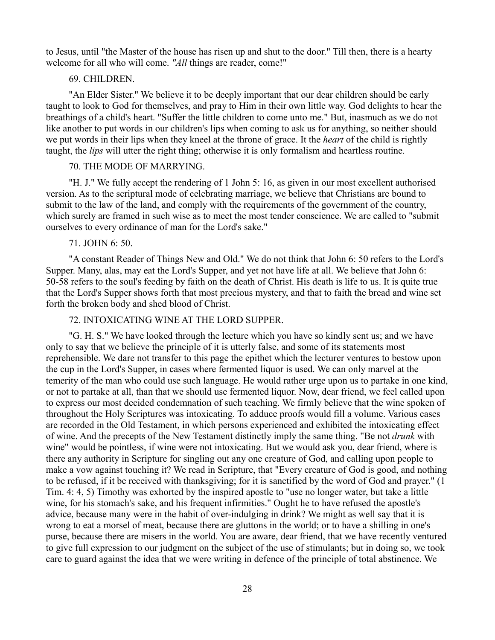to Jesus, until "the Master of the house has risen up and shut to the door." Till then, there is a hearty welcome for all who will come. "All things are reader, come!"

### 69. CHILDREN.

"An Elder Sister." We believe it to be deeply important that our dear children should be early taught to look to God for themselves, and pray to Him in their own little way. God delights to hear the breathings of a child's heart. "Suffer the little children to come unto me." But, inasmuch as we do not like another to put words in our children's lips when coming to ask us for anything, so neither should we put words in their lips when they kneel at the throne of grace. It the *heart* of the child is rightly taught, the *lips* will utter the right thing; otherwise it is only formalism and heartless routine.

# 70. THE MODE OF MARRYING.

"H. J." We fully accept the rendering of 1 John 5: 16, as given in our most excellent authorised version. As to the scriptural mode of celebrating marriage, we believe that Christians are bound to submit to the law of the land, and comply with the requirements of the government of the country, which surely are framed in such wise as to meet the most tender conscience. We are called to "submit ourselves to every ordinance of man for the Lord's sake."

### 71. JOHN 6: 50.

"A constant Reader of Things New and Old." We do not think that John 6: 50 refers to the Lord's Supper. Many, alas, may eat the Lord's Supper, and yet not have life at all. We believe that John 6: 50-58 refers to the soul's feeding by faith on the death of Christ. His death is life to us. It is quite true that the Lord's Supper shows forth that most precious mystery, and that to faith the bread and wine set forth the broken body and shed blood of Christ.

# 72. INTOXICATING WINE AT THE LORD SUPPER.

"G. H. S." We have looked through the lecture which you have so kindly sent us; and we have only to say that we believe the principle of it is utterly false, and some of its statements most reprehensible. We dare not transfer to this page the epithet which the lecturer ventures to bestow upon the cup in the Lord's Supper, in cases where fermented liquor is used. We can only marvel at the temerity of the man who could use such language. He would rather urge upon us to partake in one kind, or not to partake at all, than that we should use fermented liquor. Now, dear friend, we feel called upon to express our most decided condemnation of such teaching. We firmly believe that the wine spoken of throughout the Holy Scriptures was intoxicating. To adduce proofs would fill a volume. Various cases are recorded in the Old Testament, in which persons experienced and exhibited the intoxicating effect of wine. And the precepts of the New Testament distinctly imply the same thing. "Be not *drunk* with wine" would be pointless, if wine were not intoxicating. But we would ask you, dear friend, where is there any authority in Scripture for singling out any one creature of God, and calling upon people to make a vow against touching it? We read in Scripture, that "Every creature of God is good, and nothing to be refused, if it be received with thanksgiving; for it is sanctified by the word of God and prayer." (1 Tim. 4: 4, 5) Timothy was exhorted by the inspired apostle to "use no longer water, but take a little wine, for his stomach's sake, and his frequent infirmities." Ought he to have refused the apostle's advice, because many were in the habit of over-indulging in drink? We might as well say that it is wrong to eat a morsel of meat, because there are gluttons in the world; or to have a shilling in one's purse, because there are misers in the world. You are aware, dear friend, that we have recently ventured to give full expression to our judgment on the subject of the use of stimulants; but in doing so, we took care to guard against the idea that we were writing in defence of the principle of total abstinence. We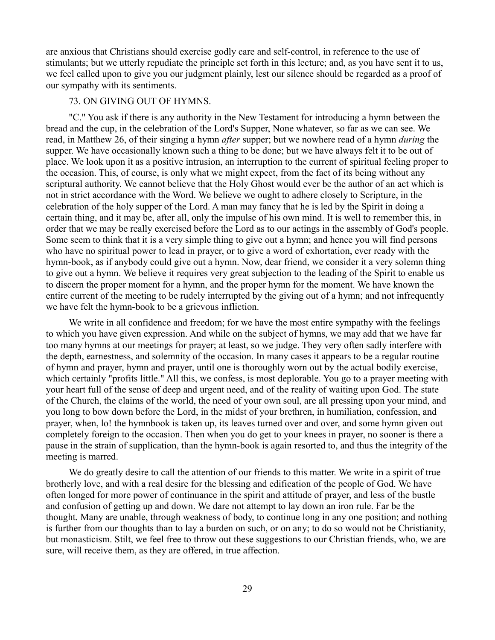are anxious that Christians should exercise godly care and self-control, in reference to the use of stimulants; but we utterly repudiate the principle set forth in this lecture; and, as you have sent it to us, we feel called upon to give you our judgment plainly, lest our silence should be regarded as a proof of our sympathy with its sentiments.

#### 73. ON GIVING OUT OF HYMNS.

"C." You ask if there is any authority in the New Testament for introducing a hymn between the bread and the cup, in the celebration of the Lord's Supper, None whatever, so far as we can see. We read, in Matthew 26, of their singing a hymn *after* supper; but we nowhere read of a hymn *during* the supper. We have occasionally known such a thing to be done; but we have always felt it to be out of place. We look upon it as a positive intrusion, an interruption to the current of spiritual feeling proper to the occasion. This, of course, is only what we might expect, from the fact of its being without any scriptural authority. We cannot believe that the Holy Ghost would ever be the author of an act which is not in strict accordance with the Word. We believe we ought to adhere closely to Scripture, in the celebration of the holy supper of the Lord. A man may fancy that he is led by the Spirit in doing a certain thing, and it may be, after all, only the impulse of his own mind. It is well to remember this, in order that we may be really exercised before the Lord as to our actings in the assembly of God's people. Some seem to think that it is a very simple thing to give out a hymn; and hence you will find persons who have no spiritual power to lead in prayer, or to give a word of exhortation, ever ready with the hymn-book, as if anybody could give out a hymn. Now, dear friend, we consider it a very solemn thing to give out a hymn. We believe it requires very great subjection to the leading of the Spirit to enable us to discern the proper moment for a hymn, and the proper hymn for the moment. We have known the entire current of the meeting to be rudely interrupted by the giving out of a hymn; and not infrequently we have felt the hymn-book to be a grievous infliction.

We write in all confidence and freedom; for we have the most entire sympathy with the feelings to which you have given expression. And while on the subject of hymns, we may add that we have far too many hymns at our meetings for prayer; at least, so we judge. They very often sadly interfere with the depth, earnestness, and solemnity of the occasion. In many cases it appears to be a regular routine of hymn and prayer, hymn and prayer, until one is thoroughly worn out by the actual bodily exercise, which certainly "profits little." All this, we confess, is most deplorable. You go to a prayer meeting with your heart full of the sense of deep and urgent need, and of the reality of waiting upon God. The state of the Church, the claims of the world, the need of your own soul, are all pressing upon your mind, and you long to bow down before the Lord, in the midst of your brethren, in humiliation, confession, and prayer, when, lo! the hymnbook is taken up, its leaves turned over and over, and some hymn given out completely foreign to the occasion. Then when you do get to your knees in prayer, no sooner is there a pause in the strain of supplication, than the hymn-book is again resorted to, and thus the integrity of the meeting is marred.

We do greatly desire to call the attention of our friends to this matter. We write in a spirit of true brotherly love, and with a real desire for the blessing and edification of the people of God. We have often longed for more power of continuance in the spirit and attitude of prayer, and less of the bustle and confusion of getting up and down. We dare not attempt to lay down an iron rule. Far be the thought. Many are unable, through weakness of body, to continue long in any one position; and nothing is further from our thoughts than to lay a burden on such, or on any; to do so would not be Christianity, but monasticism. Stilt, we feel free to throw out these suggestions to our Christian friends, who, we are sure, will receive them, as they are offered, in true affection.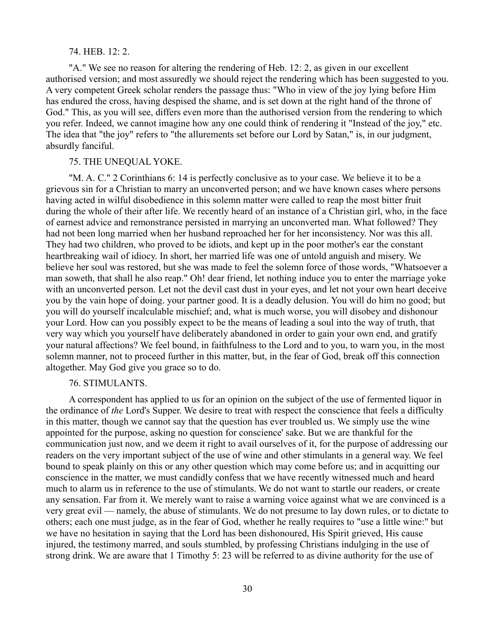#### 74. HEB. 12: 2.

"A." We see no reason for altering the rendering of Heb. 12: 2, as given in our excellent authorised version; and most assuredly we should reject the rendering which has been suggested to you. A very competent Greek scholar renders the passage thus: "Who in view of the joy lying before Him has endured the cross, having despised the shame, and is set down at the right hand of the throne of God." This, as you will see, differs even more than the authorised version from the rendering to which you refer. Indeed, we cannot imagine how any one could think of rendering it "Instead of the joy," etc. The idea that "the joy" refers to "the allurements set before our Lord by Satan," is, in our judgment, absurdly fanciful.

### 75. THE UNEQUAL YOKE.

"M. A. C." 2 Corinthians 6: 14 is perfectly conclusive as to your case. We believe it to be a grievous sin for a Christian to marry an unconverted person; and we have known cases where persons having acted in wilful disobedience in this solemn matter were called to reap the most bitter fruit during the whole of their after life. We recently heard of an instance of a Christian girl, who, in the face of earnest advice and remonstrance persisted in marrying an unconverted man. What followed? They had not been long married when her husband reproached her for her inconsistency. Nor was this all. They had two children, who proved to be idiots, and kept up in the poor mother's ear the constant heartbreaking wail of idiocy. In short, her married life was one of untold anguish and misery. We believe her soul was restored, but she was made to feel the solemn force of those words, "Whatsoever a man soweth, that shall he also reap." Oh! dear friend, let nothing induce you to enter the marriage yoke with an unconverted person. Let not the devil cast dust in your eyes, and let not your own heart deceive you by the vain hope of doing. your partner good. It is a deadly delusion. You will do him no good; but you will do yourself incalculable mischief; and, what is much worse, you will disobey and dishonour your Lord. How can you possibly expect to be the means of leading a soul into the way of truth, that very way which you yourself have deliberately abandoned in order to gain your own end, and gratify your natural affections? We feel bound, in faithfulness to the Lord and to you, to warn you, in the most solemn manner, not to proceed further in this matter, but, in the fear of God, break off this connection altogether. May God give you grace so to do.

# 76. STIMULANTS.

A correspondent has applied to us for an opinion on the subject of the use of fermented liquor in the ordinance of *the* Lord's Supper. We desire to treat with respect the conscience that feels a difficulty in this matter, though we cannot say that the question has ever troubled us. We simply use the wine appointed for the purpose, asking no question for conscience' sake. But we are thankful for the communication just now, and we deem it right to avail ourselves of it, for the purpose of addressing our readers on the very important subject of the use of wine and other stimulants in a general way. We feel bound to speak plainly on this or any other question which may come before us; and in acquitting our conscience in the matter, we must candidly confess that we have recently witnessed much and heard much to alarm us in reference to the use of stimulants. We do not want to startle our readers, or create any sensation. Far from it. We merely want to raise a warning voice against what we are convinced is a very great evil — namely, the abuse of stimulants. We do not presume to lay down rules, or to dictate to others; each one must judge, as in the fear of God, whether he really requires to "use a little wine:" but we have no hesitation in saying that the Lord has been dishonoured, His Spirit grieved, His cause injured, the testimony marred, and souls stumbled, by professing Christians indulging in the use of strong drink. We are aware that 1 Timothy 5: 23 will be referred to as divine authority for the use of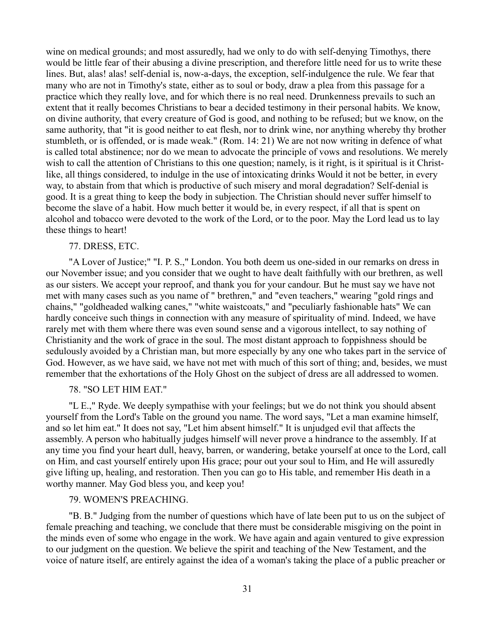wine on medical grounds; and most assuredly, had we only to do with self-denying Timothys, there would be little fear of their abusing a divine prescription, and therefore little need for us to write these lines. But, alas! alas! self-denial is, now-a-days, the exception, self-indulgence the rule. We fear that many who are not in Timothy's state, either as to soul or body, draw a plea from this passage for a practice which they really love, and for which there is no real need. Drunkenness prevails to such an extent that it really becomes Christians to bear a decided testimony in their personal habits. We know, on divine authority, that every creature of God is good, and nothing to be refused; but we know, on the same authority, that "it is good neither to eat flesh, nor to drink wine, nor anything whereby thy brother stumbleth, or is offended, or is made weak." (Rom. 14: 21) We are not now writing in defence of what is called total abstinence; nor do we mean to advocate the principle of vows and resolutions. We merely wish to call the attention of Christians to this one question; namely, is it right, is it spiritual is it Christlike, all things considered, to indulge in the use of intoxicating drinks Would it not be better, in every way, to abstain from that which is productive of such misery and moral degradation? Self-denial is good. It is a great thing to keep the body in subjection. The Christian should never suffer himself to become the slave of a habit. How much better it would be, in every respect, if all that is spent on alcohol and tobacco were devoted to the work of the Lord, or to the poor. May the Lord lead us to lay these things to heart!

### 77. DRESS, ETC.

"A Lover of Justice;" "I. P. S.," London. You both deem us one-sided in our remarks on dress in our November issue; and you consider that we ought to have dealt faithfully with our brethren, as well as our sisters. We accept your reproof, and thank you for your candour. But he must say we have not met with many cases such as you name of " brethren," and "even teachers," wearing "gold rings and chains," "goldheaded walking canes," "white waistcoats," and "peculiarly fashionable hats" We can hardly conceive such things in connection with any measure of spirituality of mind. Indeed, we have rarely met with them where there was even sound sense and a vigorous intellect, to say nothing of Christianity and the work of grace in the soul. The most distant approach to foppishness should be sedulously avoided by a Christian man, but more especially by any one who takes part in the service of God. However, as we have said, we have not met with much of this sort of thing; and, besides, we must remember that the exhortations of the Holy Ghost on the subject of dress are all addressed to women.

# 78. "SO LET HIM EAT."

"L E.," Ryde. We deeply sympathise with your feelings; but we do not think you should absent yourself from the Lord's Table on the ground you name. The word says, "Let a man examine himself, and so let him eat." It does not say, "Let him absent himself." It is unjudged evil that affects the assembly. A person who habitually judges himself will never prove a hindrance to the assembly. If at any time you find your heart dull, heavy, barren, or wandering, betake yourself at once to the Lord, call on Him, and cast yourself entirely upon His grace; pour out your soul to Him, and He will assuredly give lifting up, healing, and restoration. Then you can go to His table, and remember His death in a worthy manner. May God bless you, and keep you!

### 79. WOMEN'S PREACHING.

"B. B." Judging from the number of questions which have of late been put to us on the subject of female preaching and teaching, we conclude that there must be considerable misgiving on the point in the minds even of some who engage in the work. We have again and again ventured to give expression to our judgment on the question. We believe the spirit and teaching of the New Testament, and the voice of nature itself, are entirely against the idea of a woman's taking the place of a public preacher or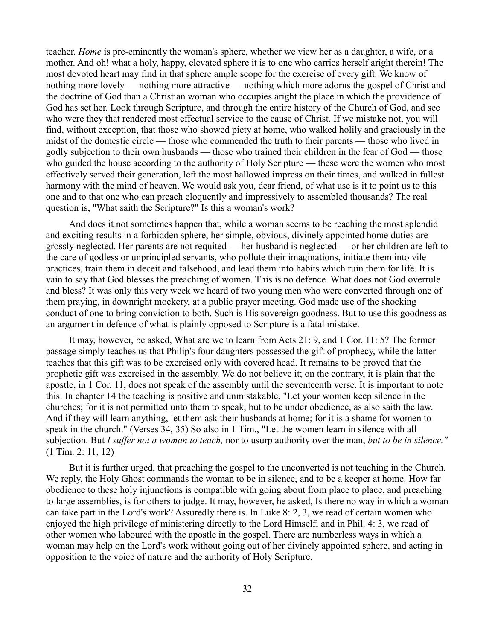teacher. *Home* is pre-eminently the woman's sphere, whether we view her as a daughter, a wife, or a mother. And oh! what a holy, happy, elevated sphere it is to one who carries herself aright therein! The most devoted heart may find in that sphere ample scope for the exercise of every gift. We know of nothing more lovely — nothing more attractive — nothing which more adorns the gospel of Christ and the doctrine of God than a Christian woman who occupies aright the place in which the providence of God has set her. Look through Scripture, and through the entire history of the Church of God, and see who were they that rendered most effectual service to the cause of Christ. If we mistake not, you will find, without exception, that those who showed piety at home, who walked holily and graciously in the midst of the domestic circle — those who commended the truth to their parents — those who lived in godly subjection to their own husbands — those who trained their children in the fear of God — those who guided the house according to the authority of Holy Scripture — these were the women who most effectively served their generation, left the most hallowed impress on their times, and walked in fullest harmony with the mind of heaven. We would ask you, dear friend, of what use is it to point us to this one and to that one who can preach eloquently and impressively to assembled thousands? The real question is, "What saith the Scripture?" Is this a woman's work?

And does it not sometimes happen that, while a woman seems to be reaching the most splendid and exciting results in a forbidden sphere, her simple, obvious, divinely appointed home duties are grossly neglected. Her parents are not requited — her husband is neglected — or her children are left to the care of godless or unprincipled servants, who pollute their imaginations, initiate them into vile practices, train them in deceit and falsehood, and lead them into habits which ruin them for life. It is vain to say that God blesses the preaching of women. This is no defence. What does not God overrule and bless? It was only this very week we heard of two young men who were converted through one of them praying, in downright mockery, at a public prayer meeting. God made use of the shocking conduct of one to bring conviction to both. Such is His sovereign goodness. But to use this goodness as an argument in defence of what is plainly opposed to Scripture is a fatal mistake.

It may, however, be asked, What are we to learn from Acts 21: 9, and 1 Cor. 11: 5? The former passage simply teaches us that Philip's four daughters possessed the gift of prophecy, while the latter teaches that this gift was to be exercised only with covered head. It remains to be proved that the prophetic gift was exercised in the assembly. We do not believe it; on the contrary, it is plain that the apostle, in 1 Cor. 11, does not speak of the assembly until the seventeenth verse. It is important to note this. In chapter 14 the teaching is positive and unmistakable, "Let your women keep silence in the churches; for it is not permitted unto them to speak, but to be under obedience, as also saith the law. And if they will learn anything, let them ask their husbands at home; for it is a shame for women to speak in the church." (Verses 34, 35) So also in 1 Tim., "Let the women learn in silence with all subjection. But *I suffer not a woman to teach,* nor to usurp authority over the man, *but to be in silence."* (1 Tim. 2: 11, 12)

But it is further urged, that preaching the gospel to the unconverted is not teaching in the Church. We reply, the Holy Ghost commands the woman to be in silence, and to be a keeper at home. How far obedience to these holy injunctions is compatible with going about from place to place, and preaching to large assemblies, is for others to judge. It may, however, he asked, Is there no way in which a woman can take part in the Lord's work? Assuredly there is. In Luke 8: 2, 3, we read of certain women who enjoyed the high privilege of ministering directly to the Lord Himself; and in Phil. 4: 3, we read of other women who laboured with the apostle in the gospel. There are numberless ways in which a woman may help on the Lord's work without going out of her divinely appointed sphere, and acting in opposition to the voice of nature and the authority of Holy Scripture.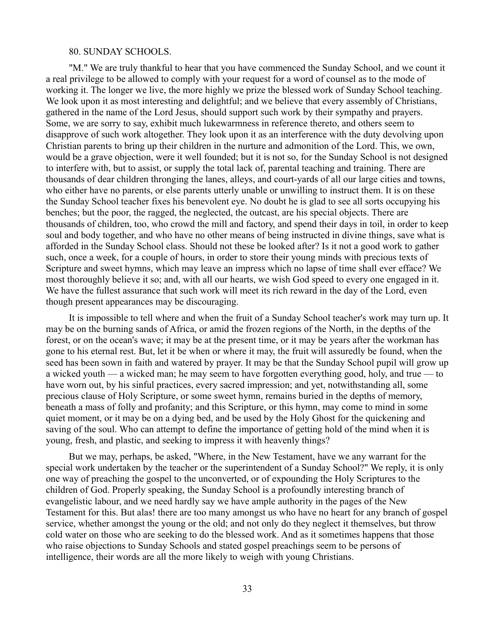#### 80. SUNDAY SCHOOLS.

"M." We are truly thankful to hear that you have commenced the Sunday School, and we count it a real privilege to be allowed to comply with your request for a word of counsel as to the mode of working it. The longer we live, the more highly we prize the blessed work of Sunday School teaching. We look upon it as most interesting and delightful; and we believe that every assembly of Christians, gathered in the name of the Lord Jesus, should support such work by their sympathy and prayers. Some, we are sorry to say, exhibit much lukewarmness in reference thereto, and others seem to disapprove of such work altogether. They look upon it as an interference with the duty devolving upon Christian parents to bring up their children in the nurture and admonition of the Lord. This, we own, would be a grave objection, were it well founded; but it is not so, for the Sunday School is not designed to interfere with, but to assist, or supply the total lack of, parental teaching and training. There are thousands of dear children thronging the lanes, alleys, and court-yards of all our large cities and towns, who either have no parents, or else parents utterly unable or unwilling to instruct them. It is on these the Sunday School teacher fixes his benevolent eye. No doubt he is glad to see all sorts occupying his benches; but the poor, the ragged, the neglected, the outcast, are his special objects. There are thousands of children, too, who crowd the mill and factory, and spend their days in toil, in order to keep soul and body together, and who have no other means of being instructed in divine things, save what is afforded in the Sunday School class. Should not these be looked after? Is it not a good work to gather such, once a week, for a couple of hours, in order to store their young minds with precious texts of Scripture and sweet hymns, which may leave an impress which no lapse of time shall ever efface? We most thoroughly believe it so; and, with all our hearts, we wish God speed to every one engaged in it. We have the fullest assurance that such work will meet its rich reward in the day of the Lord, even though present appearances may be discouraging.

It is impossible to tell where and when the fruit of a Sunday School teacher's work may turn up. It may be on the burning sands of Africa, or amid the frozen regions of the North, in the depths of the forest, or on the ocean's wave; it may be at the present time, or it may be years after the workman has gone to his eternal rest. But, let it be when or where it may, the fruit will assuredly be found, when the seed has been sown in faith and watered by prayer. It may be that the Sunday School pupil will grow up a wicked youth — a wicked man; he may seem to have forgotten everything good, holy, and true — to have worn out, by his sinful practices, every sacred impression; and yet, notwithstanding all, some precious clause of Holy Scripture, or some sweet hymn, remains buried in the depths of memory, beneath a mass of folly and profanity; and this Scripture, or this hymn, may come to mind in some quiet moment, or it may be on a dying bed, and be used by the Holy Ghost for the quickening and saving of the soul. Who can attempt to define the importance of getting hold of the mind when it is young, fresh, and plastic, and seeking to impress it with heavenly things?

But we may, perhaps, be asked, "Where, in the New Testament, have we any warrant for the special work undertaken by the teacher or the superintendent of a Sunday School?" We reply, it is only one way of preaching the gospel to the unconverted, or of expounding the Holy Scriptures to the children of God. Properly speaking, the Sunday School is a profoundly interesting branch of evangelistic labour, and we need hardly say we have ample authority in the pages of the New Testament for this. But alas! there are too many amongst us who have no heart for any branch of gospel service, whether amongst the young or the old; and not only do they neglect it themselves, but throw cold water on those who are seeking to do the blessed work. And as it sometimes happens that those who raise objections to Sunday Schools and stated gospel preachings seem to be persons of intelligence, their words are all the more likely to weigh with young Christians.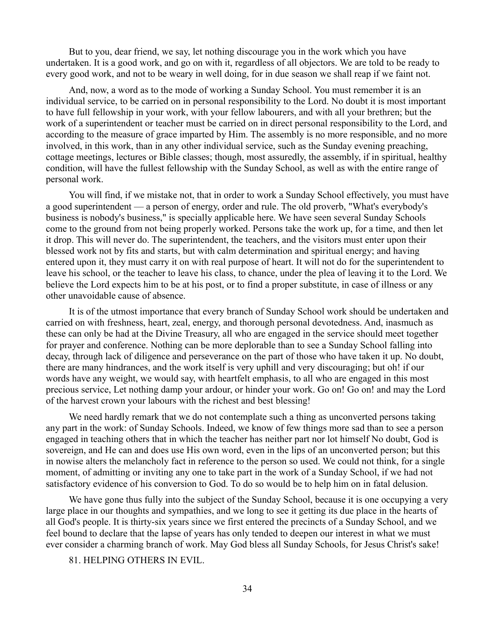But to you, dear friend, we say, let nothing discourage you in the work which you have undertaken. It is a good work, and go on with it, regardless of all objectors. We are told to be ready to every good work, and not to be weary in well doing, for in due season we shall reap if we faint not.

And, now, a word as to the mode of working a Sunday School. You must remember it is an individual service, to be carried on in personal responsibility to the Lord. No doubt it is most important to have full fellowship in your work, with your fellow labourers, and with all your brethren; but the work of a superintendent or teacher must be carried on in direct personal responsibility to the Lord, and according to the measure of grace imparted by Him. The assembly is no more responsible, and no more involved, in this work, than in any other individual service, such as the Sunday evening preaching, cottage meetings, lectures or Bible classes; though, most assuredly, the assembly, if in spiritual, healthy condition, will have the fullest fellowship with the Sunday School, as well as with the entire range of personal work.

You will find, if we mistake not, that in order to work a Sunday School effectively, you must have a good superintendent — a person of energy, order and rule. The old proverb, "What's everybody's business is nobody's business," is specially applicable here. We have seen several Sunday Schools come to the ground from not being properly worked. Persons take the work up, for a time, and then let it drop. This will never do. The superintendent, the teachers, and the visitors must enter upon their blessed work not by fits and starts, but with calm determination and spiritual energy; and having entered upon it, they must carry it on with real purpose of heart. It will not do for the superintendent to leave his school, or the teacher to leave his class, to chance, under the plea of leaving it to the Lord. We believe the Lord expects him to be at his post, or to find a proper substitute, in case of illness or any other unavoidable cause of absence.

It is of the utmost importance that every branch of Sunday School work should be undertaken and carried on with freshness, heart, zeal, energy, and thorough personal devotedness. And, inasmuch as these can only be had at the Divine Treasury, all who are engaged in the service should meet together for prayer and conference. Nothing can be more deplorable than to see a Sunday School falling into decay, through lack of diligence and perseverance on the part of those who have taken it up. No doubt, there are many hindrances, and the work itself is very uphill and very discouraging; but oh! if our words have any weight, we would say, with heartfelt emphasis, to all who are engaged in this most precious service, Let nothing damp your ardour, or hinder your work. Go on! Go on! and may the Lord of the harvest crown your labours with the richest and best blessing!

We need hardly remark that we do not contemplate such a thing as unconverted persons taking any part in the work: of Sunday Schools. Indeed, we know of few things more sad than to see a person engaged in teaching others that in which the teacher has neither part nor lot himself No doubt, God is sovereign, and He can and does use His own word, even in the lips of an unconverted person; but this in nowise alters the melancholy fact in reference to the person so used. We could not think, for a single moment, of admitting or inviting any one to take part in the work of a Sunday School, if we had not satisfactory evidence of his conversion to God. To do so would be to help him on in fatal delusion.

We have gone thus fully into the subject of the Sunday School, because it is one occupying a very large place in our thoughts and sympathies, and we long to see it getting its due place in the hearts of all God's people. It is thirty-six years since we first entered the precincts of a Sunday School, and we feel bound to declare that the lapse of years has only tended to deepen our interest in what we must ever consider a charming branch of work. May God bless all Sunday Schools, for Jesus Christ's sake!

81. HELPING OTHERS IN EVIL.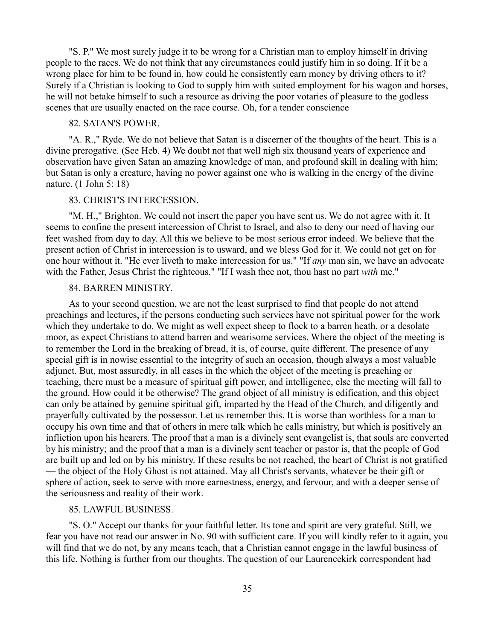"S. P." We most surely judge it to be wrong for a Christian man to employ himself in driving people to the races. We do not think that any circumstances could justify him in so doing. If it be a wrong place for him to be found in, how could he consistently earn money by driving others to it? Surely if a Christian is looking to God to supply him with suited employment for his wagon and horses, he will not betake himself to such a resource as driving the poor votaries of pleasure to the godless scenes that are usually enacted on the race course. Oh, for a tender conscience

#### 82. SATAN'S POWER.

"A. R.," Ryde. We do not believe that Satan is a discerner of the thoughts of the heart. This is a divine prerogative. (See Heb. 4) We doubt not that well nigh six thousand years of experience and observation have given Satan an amazing knowledge of man, and profound skill in dealing with him; but Satan is only a creature, having no power against one who is walking in the energy of the divine nature. (1 John 5: 18)

# 83. CHRIST'S INTERCESSION.

"M. H.," Brighton. We could not insert the paper you have sent us. We do not agree with it. It seems to confine the present intercession of Christ to Israel, and also to deny our need of having our feet washed from day to day. All this we believe to be most serious error indeed. We believe that the present action of Christ in intercession is to usward, and we bless God for it. We could not get on for one hour without it. "He ever liveth to make intercession for us." "If *any* man sin, we have an advocate with the Father, Jesus Christ the righteous." "If I wash thee not, thou hast no part *with* me."

### 84. BARREN MINISTRY.

As to your second question, we are not the least surprised to find that people do not attend preachings and lectures, if the persons conducting such services have not spiritual power for the work which they undertake to do. We might as well expect sheep to flock to a barren heath, or a desolate moor, as expect Christians to attend barren and wearisome services. Where the object of the meeting is to remember the Lord in the breaking of bread, it is, of course, quite different. The presence of any special gift is in nowise essential to the integrity of such an occasion, though always a most valuable adjunct. But, most assuredly, in all cases in the which the object of the meeting is preaching or teaching, there must be a measure of spiritual gift power, and intelligence, else the meeting will fall to the ground. How could it be otherwise? The grand object of all ministry is edification, and this object can only be attained by genuine spiritual gift, imparted by the Head of the Church, and diligently and prayerfully cultivated by the possessor. Let us remember this. It is worse than worthless for a man to occupy his own time and that of others in mere talk which he calls ministry, but which is positively an infliction upon his hearers. The proof that a man is a divinely sent evangelist is, that souls are converted by his ministry; and the proof that a man is a divinely sent teacher or pastor is, that the people of God are built up and led on by his ministry. If these results be not reached, the heart of Christ is not gratified — the object of the Holy Ghost is not attained. May all Christ's servants, whatever be their gift or sphere of action, seek to serve with more earnestness, energy, and fervour, and with a deeper sense of the seriousness and reality of their work.

#### 85. LAWFUL BUSINESS.

"S. O." Accept our thanks for your faithful letter. Its tone and spirit are very grateful. Still, we fear you have not read our answer in No. 90 with sufficient care. If you will kindly refer to it again, you will find that we do not, by any means teach, that a Christian cannot engage in the lawful business of this life. Nothing is further from our thoughts. The question of our Laurencekirk correspondent had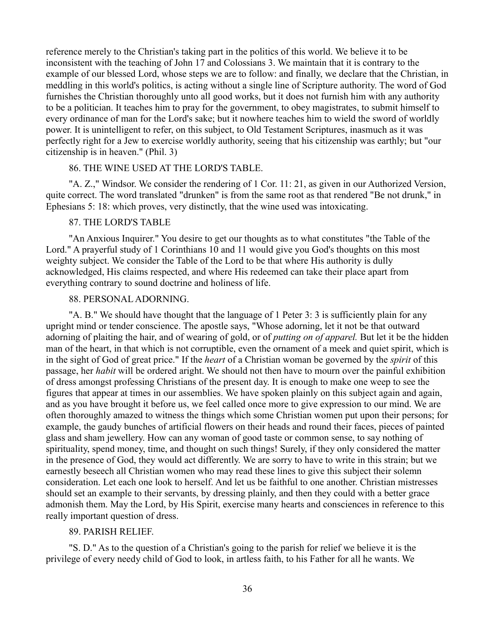reference merely to the Christian's taking part in the politics of this world. We believe it to be inconsistent with the teaching of John 17 and Colossians 3. We maintain that it is contrary to the example of our blessed Lord, whose steps we are to follow: and finally, we declare that the Christian, in meddling in this world's politics, is acting without a single line of Scripture authority. The word of God furnishes the Christian thoroughly unto all good works, but it does not furnish him with any authority to be a politician. It teaches him to pray for the government, to obey magistrates, to submit himself to every ordinance of man for the Lord's sake; but it nowhere teaches him to wield the sword of worldly power. It is unintelligent to refer, on this subject, to Old Testament Scriptures, inasmuch as it was perfectly right for a Jew to exercise worldly authority, seeing that his citizenship was earthly; but "our citizenship is in heaven." (Phil. 3)

### 86. THE WINE USED AT THE LORD'S TABLE.

"A. Z.," Windsor. We consider the rendering of 1 Cor. 11: 21, as given in our Authorized Version, quite correct. The word translated "drunken" is from the same root as that rendered "Be not drunk," in Ephesians 5: 18: which proves, very distinctly, that the wine used was intoxicating.

#### 87. THE LORD'S TABLE

"An Anxious Inquirer." You desire to get our thoughts as to what constitutes "the Table of the Lord." A prayerful study of 1 Corinthians 10 and 11 would give you God's thoughts on this most weighty subject. We consider the Table of the Lord to be that where His authority is dully acknowledged, His claims respected, and where His redeemed can take their place apart from everything contrary to sound doctrine and holiness of life.

# 88. PERSONAL ADORNING.

"A. B." We should have thought that the language of 1 Peter 3: 3 is sufficiently plain for any upright mind or tender conscience. The apostle says, "Whose adorning, let it not be that outward adorning of plaiting the hair, and of wearing of gold, or of *putting on of apparel.* But let it be the hidden man of the heart, in that which is not corruptible, even the ornament of a meek and quiet spirit, which is in the sight of God of great price." If the *heart* of a Christian woman be governed by the *spirit* of this passage, her *habit* will be ordered aright. We should not then have to mourn over the painful exhibition of dress amongst professing Christians of the present day. It is enough to make one weep to see the figures that appear at times in our assemblies. We have spoken plainly on this subject again and again, and as you have brought it before us, we feel called once more to give expression to our mind. We are often thoroughly amazed to witness the things which some Christian women put upon their persons; for example, the gaudy bunches of artificial flowers on their heads and round their faces, pieces of painted glass and sham jewellery. How can any woman of good taste or common sense, to say nothing of spirituality, spend money, time, and thought on such things! Surely, if they only considered the matter in the presence of God, they would act differently. We are sorry to have to write in this strain; but we earnestly beseech all Christian women who may read these lines to give this subject their solemn consideration. Let each one look to herself. And let us be faithful to one another. Christian mistresses should set an example to their servants, by dressing plainly, and then they could with a better grace admonish them. May the Lord, by His Spirit, exercise many hearts and consciences in reference to this really important question of dress.

#### 89. PARISH RELIEF.

"S. D." As to the question of a Christian's going to the parish for relief we believe it is the privilege of every needy child of God to look, in artless faith, to his Father for all he wants. We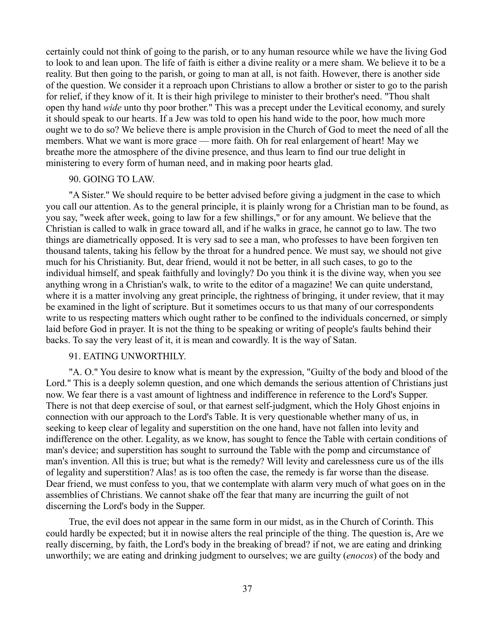certainly could not think of going to the parish, or to any human resource while we have the living God to look to and lean upon. The life of faith is either a divine reality or a mere sham. We believe it to be a reality. But then going to the parish, or going to man at all, is not faith. However, there is another side of the question. We consider it a reproach upon Christians to allow a brother or sister to go to the parish for relief, if they know of it. It is their high privilege to minister to their brother's need. "Thou shalt open thy hand *wide* unto thy poor brother." This was a precept under the Levitical economy, and surely it should speak to our hearts. If a Jew was told to open his hand wide to the poor, how much more ought we to do so? We believe there is ample provision in the Church of God to meet the need of all the members. What we want is more grace — more faith. Oh for real enlargement of heart! May we breathe more the atmosphere of the divine presence, and thus learn to find our true delight in ministering to every form of human need, and in making poor hearts glad.

# 90. GOING TO LAW.

"A Sister." We should require to be better advised before giving a judgment in the case to which you call our attention. As to the general principle, it is plainly wrong for a Christian man to be found, as you say, "week after week, going to law for a few shillings," or for any amount. We believe that the Christian is called to walk in grace toward all, and if he walks in grace, he cannot go to law. The two things are diametrically opposed. It is very sad to see a man, who professes to have been forgiven ten thousand talents, taking his fellow by the throat for a hundred pence. We must say, we should not give much for his Christianity. But, dear friend, would it not be better, in all such cases, to go to the individual himself, and speak faithfully and lovingly? Do you think it is the divine way, when you see anything wrong in a Christian's walk, to write to the editor of a magazine! We can quite understand, where it is a matter involving any great principle, the rightness of bringing, it under review, that it may be examined in the light of scripture. But it sometimes occurs to us that many of our correspondents write to us respecting matters which ought rather to be confined to the individuals concerned, or simply laid before God in prayer. It is not the thing to be speaking or writing of people's faults behind their backs. To say the very least of it, it is mean and cowardly. It is the way of Satan.

## 91. EATING UNWORTHILY.

"A. O." You desire to know what is meant by the expression, "Guilty of the body and blood of the Lord." This is a deeply solemn question, and one which demands the serious attention of Christians just now. We fear there is a vast amount of lightness and indifference in reference to the Lord's Supper. There is not that deep exercise of soul, or that earnest self-judgment, which the Holy Ghost enjoins in connection with our approach to the Lord's Table. It is very questionable whether many of us, in seeking to keep clear of legality and superstition on the one hand, have not fallen into levity and indifference on the other. Legality, as we know, has sought to fence the Table with certain conditions of man's device; and superstition has sought to surround the Table with the pomp and circumstance of man's invention. All this is true; but what is the remedy? Will levity and carelessness cure us of the ills of legality and superstition? Alas! as is too often the case, the remedy is far worse than the disease. Dear friend, we must confess to you, that we contemplate with alarm very much of what goes on in the assemblies of Christians. We cannot shake off the fear that many are incurring the guilt of not discerning the Lord's body in the Supper.

True, the evil does not appear in the same form in our midst, as in the Church of Corinth. This could hardly be expected; but it in nowise alters the real principle of the thing. The question is, Are we really discerning, by faith, the Lord's body in the breaking of bread? if not, we are eating and drinking unworthily; we are eating and drinking judgment to ourselves; we are guilty (*enocos*) of the body and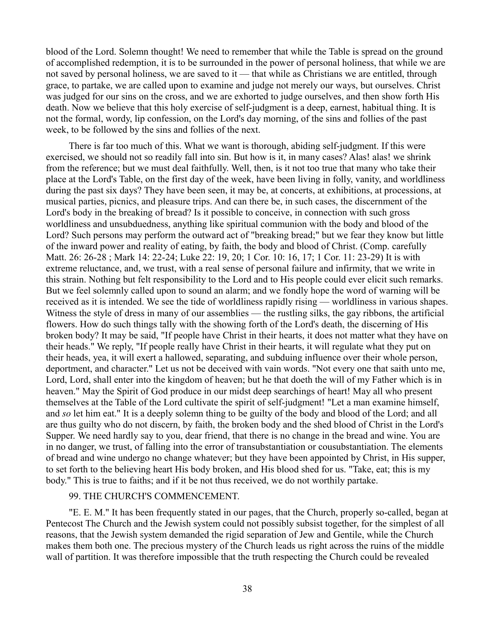blood of the Lord. Solemn thought! We need to remember that while the Table is spread on the ground of accomplished redemption, it is to be surrounded in the power of personal holiness, that while we are not saved by personal holiness, we are saved to it — that while as Christians we are entitled, through grace, to partake, we are called upon to examine and judge not merely our ways, but ourselves. Christ was judged for our sins on the cross, and we are exhorted to judge ourselves, and then show forth His death. Now we believe that this holy exercise of self-judgment is a deep, earnest, habitual thing. It is not the formal, wordy, lip confession, on the Lord's day morning, of the sins and follies of the past week, to be followed by the sins and follies of the next.

There is far too much of this. What we want is thorough, abiding self-judgment. If this were exercised, we should not so readily fall into sin. But how is it, in many cases? Alas! alas! we shrink from the reference; but we must deal faithfully. Well, then, is it not too true that many who take their place at the Lord's Table, on the first day of the week, have been living in folly, vanity, and worldliness during the past six days? They have been seen, it may be, at concerts, at exhibitions, at processions, at musical parties, picnics, and pleasure trips. And can there be, in such cases, the discernment of the Lord's body in the breaking of bread? Is it possible to conceive, in connection with such gross worldliness and unsubduedness, anything like spiritual communion with the body and blood of the Lord? Such persons may perform the outward act of "breaking bread;" but we fear they know but little of the inward power and reality of eating, by faith, the body and blood of Christ. (Comp. carefully Matt. 26: 26-28 ; Mark 14: 22-24; Luke 22: 19, 20; 1 Cor. 10: 16, 17; 1 Cor. 11: 23-29) It is with extreme reluctance, and, we trust, with a real sense of personal failure and infirmity, that we write in this strain. Nothing but felt responsibility to the Lord and to His people could ever elicit such remarks. But we feel solemnly called upon to sound an alarm; and we fondly hope the word of warning will be received as it is intended. We see the tide of worldliness rapidly rising — worldliness in various shapes. Witness the style of dress in many of our assemblies — the rustling silks, the gay ribbons, the artificial flowers. How do such things tally with the showing forth of the Lord's death, the discerning of His broken body? It may be said, "If people have Christ in their hearts, it does not matter what they have on their heads." We reply, "If people really have Christ in their hearts, it will regulate what they put on their heads, yea, it will exert a hallowed, separating, and subduing influence over their whole person, deportment, and character." Let us not be deceived with vain words. "Not every one that saith unto me, Lord, Lord, shall enter into the kingdom of heaven; but he that doeth the will of my Father which is in heaven." May the Spirit of God produce in our midst deep searchings of heart! May all who present themselves at the Table of the Lord cultivate the spirit of self-judgment! "Let a man examine himself, and *so* let him eat." It is a deeply solemn thing to be guilty of the body and blood of the Lord; and all are thus guilty who do not discern, by faith, the broken body and the shed blood of Christ in the Lord's Supper. We need hardly say to you, dear friend, that there is no change in the bread and wine. You are in no danger, we trust, of falling into the error of transubstantiation or cousubstantiation. The elements of bread and wine undergo no change whatever; but they have been appointed by Christ, in His supper, to set forth to the believing heart His body broken, and His blood shed for us. "Take, eat; this is my body." This is true to faiths; and if it be not thus received, we do not worthily partake.

## 99. THE CHURCH'S COMMENCEMENT.

"E. E. M." It has been frequently stated in our pages, that the Church, properly so-called, began at Pentecost The Church and the Jewish system could not possibly subsist together, for the simplest of all reasons, that the Jewish system demanded the rigid separation of Jew and Gentile, while the Church makes them both one. The precious mystery of the Church leads us right across the ruins of the middle wall of partition. It was therefore impossible that the truth respecting the Church could be revealed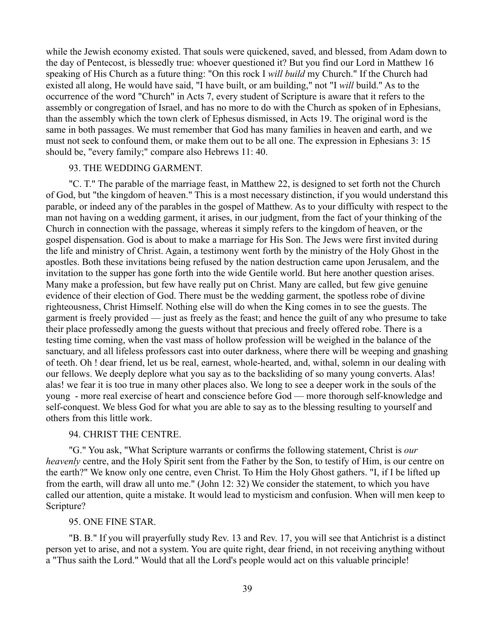while the Jewish economy existed. That souls were quickened, saved, and blessed, from Adam down to the day of Pentecost, is blessedly true: whoever questioned it? But you find our Lord in Matthew 16 speaking of His Church as a future thing: "On this rock I *will build* my Church." If the Church had existed all along, He would have said, "I have built, or am building," not "I *will* build." As to the occurrence of the word "Church" in Acts 7, every student of Scripture is aware that it refers to the assembly or congregation of Israel, and has no more to do with the Church as spoken of in Ephesians, than the assembly which the town clerk of Ephesus dismissed, in Acts 19. The original word is the same in both passages. We must remember that God has many families in heaven and earth, and we must not seek to confound them, or make them out to be all one. The expression in Ephesians 3: 15 should be, "every family;" compare also Hebrews 11: 40.

#### 93. THE WEDDING GARMENT.

"C. T." The parable of the marriage feast, in Matthew 22, is designed to set forth not the Church of God, but "the kingdom of heaven." This is a most necessary distinction, if you would understand this parable, or indeed any of the parables in the gospel of Matthew. As to your difficulty with respect to the man not having on a wedding garment, it arises, in our judgment, from the fact of your thinking of the Church in connection with the passage, whereas it simply refers to the kingdom of heaven, or the gospel dispensation. God is about to make a marriage for His Son. The Jews were first invited during the life and ministry of Christ. Again, a testimony went forth by the ministry of the Holy Ghost in the apostles. Both these invitations being refused by the nation destruction came upon Jerusalem, and the invitation to the supper has gone forth into the wide Gentile world. But here another question arises. Many make a profession, but few have really put on Christ. Many are called, but few give genuine evidence of their election of God. There must be the wedding garment, the spotless robe of divine righteousness, Christ Himself. Nothing else will do when the King comes in to see the guests. The garment is freely provided — just as freely as the feast; and hence the guilt of any who presume to take their place professedly among the guests without that precious and freely offered robe. There is a testing time coming, when the vast mass of hollow profession will be weighed in the balance of the sanctuary, and all lifeless professors cast into outer darkness, where there will be weeping and gnashing of teeth. Oh ! dear friend, let us be real, earnest, whole-hearted, and, withal, solemn in our dealing with our fellows. We deeply deplore what you say as to the backsliding of so many young converts. Alas! alas! we fear it is too true in many other places also. We long to see a deeper work in the souls of the young - more real exercise of heart and conscience before God — more thorough self-knowledge and self-conquest. We bless God for what you are able to say as to the blessing resulting to yourself and others from this little work.

#### 94. CHRIST THE CENTRE.

"G." You ask, "What Scripture warrants or confirms the following statement, Christ is *our heavenly* centre, and the Holy Spirit sent from the Father by the Son, to testify of Him, is our centre on the earth?" We know only one centre, even Christ. To Him the Holy Ghost gathers. "I, if I be lifted up from the earth, will draw all unto me." (John 12: 32) We consider the statement, to which you have called our attention, quite a mistake. It would lead to mysticism and confusion. When will men keep to Scripture?

#### 95. ONE FINE STAR.

"B. B." If you will prayerfully study Rev. 13 and Rev. 17, you will see that Antichrist is a distinct person yet to arise, and not a system. You are quite right, dear friend, in not receiving anything without a "Thus saith the Lord." Would that all the Lord's people would act on this valuable principle!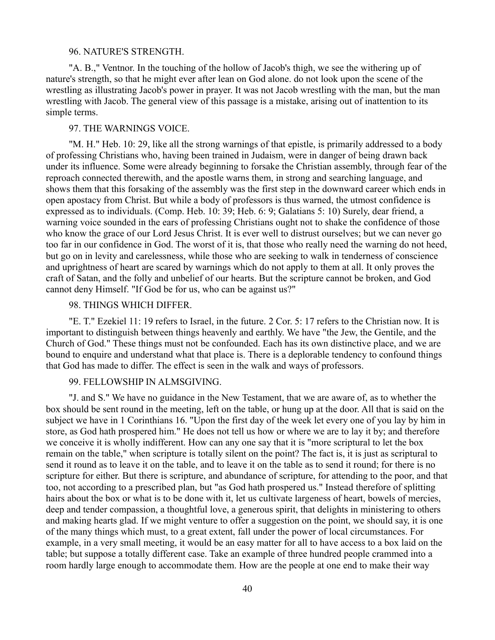#### 96. NATURE'S STRENGTH.

"A. B.," Ventnor. In the touching of the hollow of Jacob's thigh, we see the withering up of nature's strength, so that he might ever after lean on God alone. do not look upon the scene of the wrestling as illustrating Jacob's power in prayer. It was not Jacob wrestling with the man, but the man wrestling with Jacob. The general view of this passage is a mistake, arising out of inattention to its simple terms.

#### 97. THE WARNINGS VOICE.

"M. H." Heb. 10: 29, like all the strong warnings of that epistle, is primarily addressed to a body of professing Christians who, having been trained in Judaism, were in danger of being drawn back under its influence. Some were already beginning to forsake the Christian assembly, through fear of the reproach connected therewith, and the apostle warns them, in strong and searching language, and shows them that this forsaking of the assembly was the first step in the downward career which ends in open apostacy from Christ. But while a body of professors is thus warned, the utmost confidence is expressed as to individuals. (Comp. Heb. 10: 39; Heb. 6: 9; Galatians 5: 10) Surely, dear friend, a warning voice sounded in the ears of professing Christians ought not to shake the confidence of those who know the grace of our Lord Jesus Christ. It is ever well to distrust ourselves; but we can never go too far in our confidence in God. The worst of it is, that those who really need the warning do not heed, but go on in levity and carelessness, while those who are seeking to walk in tenderness of conscience and uprightness of heart are scared by warnings which do not apply to them at all. It only proves the craft of Satan, and the folly and unbelief of our hearts. But the scripture cannot be broken, and God cannot deny Himself. "If God be for us, who can be against us?"

# 98. THINGS WHICH DIFFER.

"E. T." Ezekiel 11: 19 refers to Israel, in the future. 2 Cor. 5: 17 refers to the Christian now. It is important to distinguish between things heavenly and earthly. We have "the Jew, the Gentile, and the Church of God." These things must not be confounded. Each has its own distinctive place, and we are bound to enquire and understand what that place is. There is a deplorable tendency to confound things that God has made to differ. The effect is seen in the walk and ways of professors.

### 99. FELLOWSHIP IN ALMSGIVING.

"J. and S." We have no guidance in the New Testament, that we are aware of, as to whether the box should be sent round in the meeting, left on the table, or hung up at the door. All that is said on the subject we have in 1 Corinthians 16. "Upon the first day of the week let every one of you lay by him in store, as God hath prospered him." He does not tell us how or where we are to lay it by; and therefore we conceive it is wholly indifferent. How can any one say that it is "more scriptural to let the box remain on the table," when scripture is totally silent on the point? The fact is, it is just as scriptural to send it round as to leave it on the table, and to leave it on the table as to send it round; for there is no scripture for either. But there is scripture, and abundance of scripture, for attending to the poor, and that too, not according to a prescribed plan, but "as God hath prospered us." Instead therefore of splitting hairs about the box or what is to be done with it, let us cultivate largeness of heart, bowels of mercies, deep and tender compassion, a thoughtful love, a generous spirit, that delights in ministering to others and making hearts glad. If we might venture to offer a suggestion on the point, we should say, it is one of the many things which must, to a great extent, fall under the power of local circumstances. For example, in a very small meeting, it would be an easy matter for all to have access to a box laid on the table; but suppose a totally different case. Take an example of three hundred people crammed into a room hardly large enough to accommodate them. How are the people at one end to make their way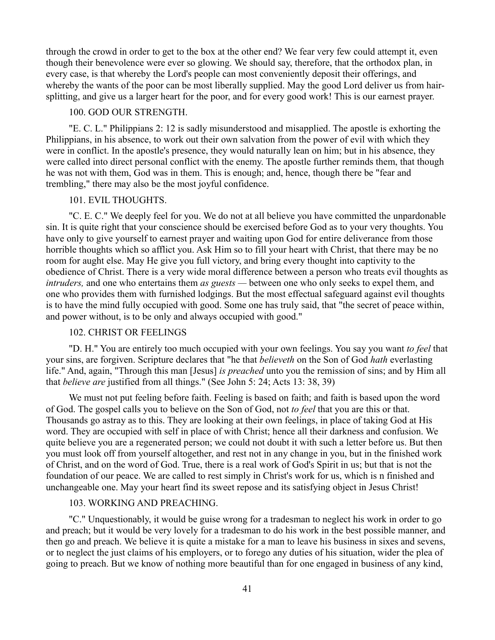through the crowd in order to get to the box at the other end? We fear very few could attempt it, even though their benevolence were ever so glowing. We should say, therefore, that the orthodox plan, in every case, is that whereby the Lord's people can most conveniently deposit their offerings, and whereby the wants of the poor can be most liberally supplied. May the good Lord deliver us from hairsplitting, and give us a larger heart for the poor, and for every good work! This is our earnest prayer.

# 100. GOD OUR STRENGTH.

"E. C. L." Philippians 2: 12 is sadly misunderstood and misapplied. The apostle is exhorting the Philippians, in his absence, to work out their own salvation from the power of evil with which they were in conflict. In the apostle's presence, they would naturally lean on him; but in his absence, they were called into direct personal conflict with the enemy. The apostle further reminds them, that though he was not with them, God was in them. This is enough; and, hence, though there be "fear and trembling," there may also be the most joyful confidence.

# 101. EVIL THOUGHTS.

"C. E. C." We deeply feel for you. We do not at all believe you have committed the unpardonable sin. It is quite right that your conscience should be exercised before God as to your very thoughts. You have only to give yourself to earnest prayer and waiting upon God for entire deliverance from those horrible thoughts which so afflict you. Ask Him so to fill your heart with Christ, that there may be no room for aught else. May He give you full victory, and bring every thought into captivity to the obedience of Christ. There is a very wide moral difference between a person who treats evil thoughts as *intruders,* and one who entertains them *as guests —* between one who only seeks to expel them, and one who provides them with furnished lodgings. But the most effectual safeguard against evil thoughts is to have the mind fully occupied with good. Some one has truly said, that "the secret of peace within, and power without, is to be only and always occupied with good."

# 102. CHRIST OR FEELINGS

"D. H." You are entirely too much occupied with your own feelings. You say you want *to feel* that your sins, are forgiven. Scripture declares that "he that *believeth* on the Son of God *hath* everlasting life." And, again, "Through this man [Jesus] *is preached* unto you the remission of sins; and by Him all that *believe are* justified from all things." (See John 5: 24; Acts 13: 38, 39)

We must not put feeling before faith. Feeling is based on faith; and faith is based upon the word of God. The gospel calls you to believe on the Son of God, not *to feel* that you are this or that. Thousands go astray as to this. They are looking at their own feelings, in place of taking God at His word. They are occupied with self in place of with Christ; hence all their darkness and confusion. We quite believe you are a regenerated person; we could not doubt it with such a letter before us. But then you must look off from yourself altogether, and rest not in any change in you, but in the finished work of Christ, and on the word of God. True, there is a real work of God's Spirit in us; but that is not the foundation of our peace. We are called to rest simply in Christ's work for us, which is n finished and unchangeable one. May your heart find its sweet repose and its satisfying object in Jesus Christ!

# 103. WORKING AND PREACHING.

"C." Unquestionably, it would be guise wrong for a tradesman to neglect his work in order to go and preach; but it would be very lovely for a tradesman to do his work in the best possible manner, and then go and preach. We believe it is quite a mistake for a man to leave his business in sixes and sevens, or to neglect the just claims of his employers, or to forego any duties of his situation, wider the plea of going to preach. But we know of nothing more beautiful than for one engaged in business of any kind,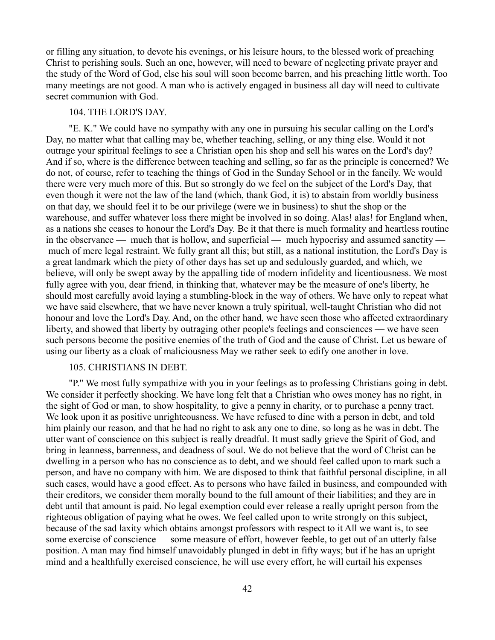or filling any situation, to devote his evenings, or his leisure hours, to the blessed work of preaching Christ to perishing souls. Such an one, however, will need to beware of neglecting private prayer and the study of the Word of God, else his soul will soon become barren, and his preaching little worth. Too many meetings are not good. A man who is actively engaged in business all day will need to cultivate secret communion with God.

# 104. THE LORD'S DAY.

"E. K." We could have no sympathy with any one in pursuing his secular calling on the Lord's Day, no matter what that calling may be, whether teaching, selling, or any thing else. Would it not outrage your spiritual feelings to see a Christian open his shop and sell his wares on the Lord's day? And if so, where is the difference between teaching and selling, so far as the principle is concerned? We do not, of course, refer to teaching the things of God in the Sunday School or in the fancily. We would there were very much more of this. But so strongly do we feel on the subject of the Lord's Day, that even though it were not the law of the land (which, thank God, it is) to abstain from worldly business on that day, we should feel it to be our privilege (were we in business) to shut the shop or the warehouse, and suffer whatever loss there might be involved in so doing. Alas! alas! for England when, as a nations she ceases to honour the Lord's Day. Be it that there is much formality and heartless routine in the observance — much that is hollow, and superficial — much hypocrisy and assumed sanctity much of mere legal restraint. We fully grant all this; but still, as a national institution, the Lord's Day is a great landmark which the piety of other days has set up and sedulously guarded, and which, we believe, will only be swept away by the appalling tide of modern infidelity and licentiousness. We most fully agree with you, dear friend, in thinking that, whatever may be the measure of one's liberty, he should most carefully avoid laying a stumbling-block in the way of others. We have only to repeat what we have said elsewhere, that we have never known a truly spiritual, well-taught Christian who did not honour and love the Lord's Day. And, on the other hand, we have seen those who affected extraordinary liberty, and showed that liberty by outraging other people's feelings and consciences — we have seen such persons become the positive enemies of the truth of God and the cause of Christ. Let us beware of using our liberty as a cloak of maliciousness May we rather seek to edify one another in love.

## 105. CHRISTIANS IN DEBT.

"P." We most fully sympathize with you in your feelings as to professing Christians going in debt. We consider it perfectly shocking. We have long felt that a Christian who owes money has no right, in the sight of God or man, to show hospitality, to give a penny in charity, or to purchase a penny tract. We look upon it as positive unrighteousness. We have refused to dine with a person in debt, and told him plainly our reason, and that he had no right to ask any one to dine, so long as he was in debt. The utter want of conscience on this subject is really dreadful. It must sadly grieve the Spirit of God, and bring in leanness, barrenness, and deadness of soul. We do not believe that the word of Christ can be dwelling in a person who has no conscience as to debt, and we should feel called upon to mark such a person, and have no company with him. We are disposed to think that faithful personal discipline, in all such cases, would have a good effect. As to persons who have failed in business, and compounded with their creditors, we consider them morally bound to the full amount of their liabilities; and they are in debt until that amount is paid. No legal exemption could ever release a really upright person from the righteous obligation of paying what he owes. We feel called upon to write strongly on this subject, because of the sad laxity which obtains amongst professors with respect to it All we want is, to see some exercise of conscience — some measure of effort, however feeble, to get out of an utterly false position. A man may find himself unavoidably plunged in debt in fifty ways; but if he has an upright mind and a healthfully exercised conscience, he will use every effort, he will curtail his expenses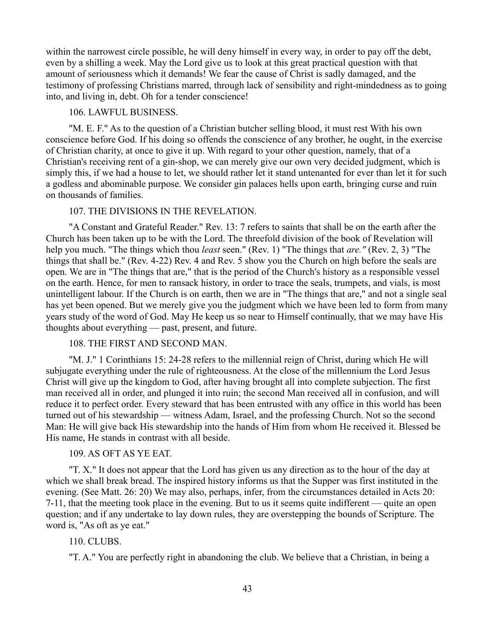within the narrowest circle possible, he will deny himself in every way, in order to pay off the debt, even by a shilling a week. May the Lord give us to look at this great practical question with that amount of seriousness which it demands! We fear the cause of Christ is sadly damaged, and the testimony of professing Christians marred, through lack of sensibility and right-mindedness as to going into, and living in, debt. Oh for a tender conscience!

## 106. LAWFUL BUSINESS.

"M. E. F." As to the question of a Christian butcher selling blood, it must rest With his own conscience before God. If his doing so offends the conscience of any brother, he ought, in the exercise of Christian charity, at once to give it up. With regard to your other question, namely, that of a Christian's receiving rent of a gin-shop, we can merely give our own very decided judgment, which is simply this, if we had a house to let, we should rather let it stand untenanted for ever than let it for such a godless and abominable purpose. We consider gin palaces hells upon earth, bringing curse and ruin on thousands of families.

### 107. THE DIVISIONS IN THE REVELATION.

"A Constant and Grateful Reader." Rev. 13: 7 refers to saints that shall be on the earth after the Church has been taken up to be with the Lord. The threefold division of the book of Revelation will help you much. "The things which thou *least* seen." (Rev. 1) "The things that *are."* (Rev. 2, 3) "The things that shall be." (Rev. 4-22) Rev. 4 and Rev. 5 show you the Church on high before the seals are open. We are in "The things that are," that is the period of the Church's history as a responsible vessel on the earth. Hence, for men to ransack history, in order to trace the seals, trumpets, and vials, is most unintelligent labour. If the Church is on earth, then we are in "The things that are," and not a single seal has yet been opened. But we merely give you the judgment which we have been led to form from many years study of the word of God. May He keep us so near to Himself continually, that we may have His thoughts about everything — past, present, and future.

### 108. THE FIRST AND SECOND MAN.

"M. J." 1 Corinthians 15: 24-28 refers to the millennial reign of Christ, during which He will subjugate everything under the rule of righteousness. At the close of the millennium the Lord Jesus Christ will give up the kingdom to God, after having brought all into complete subjection. The first man received all in order, and plunged it into ruin; the second Man received all in confusion, and will reduce it to perfect order. Every steward that has been entrusted with any office in this world has been turned out of his stewardship — witness Adam, Israel, and the professing Church. Not so the second Man: He will give back His stewardship into the hands of Him from whom He received it. Blessed be His name, He stands in contrast with all beside.

# 109. AS OFT AS YE EAT.

"T. X." It does not appear that the Lord has given us any direction as to the hour of the day at which we shall break bread. The inspired history informs us that the Supper was first instituted in the evening. (See Matt. 26: 20) We may also, perhaps, infer, from the circumstances detailed in Acts 20: 7-11, that the meeting took place in the evening. But to us it seems quite indifferent — quite an open question; and if any undertake to lay down rules, they are overstepping the bounds of Scripture. The word is, "As oft as ye eat."

#### 110. CLUBS.

"T. A." You are perfectly right in abandoning the club. We believe that a Christian, in being a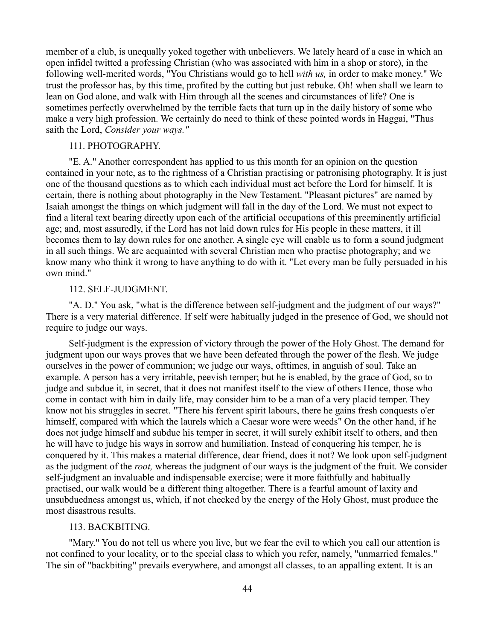member of a club, is unequally yoked together with unbelievers. We lately heard of a case in which an open infidel twitted a professing Christian (who was associated with him in a shop or store), in the following well-merited words, "You Christians would go to hell *with us,* in order to make money." We trust the professor has, by this time, profited by the cutting but just rebuke. Oh! when shall we learn to lean on God alone, and walk with Him through all the scenes and circumstances of life? One is sometimes perfectly overwhelmed by the terrible facts that turn up in the daily history of some who make a very high profession. We certainly do need to think of these pointed words in Haggai, "Thus saith the Lord, *Consider your ways."* 

### 111. PHOTOGRAPHY.

"E. A." Another correspondent has applied to us this month for an opinion on the question contained in your note, as to the rightness of a Christian practising or patronising photography. It is just one of the thousand questions as to which each individual must act before the Lord for himself. It is certain, there is nothing about photography in the New Testament. "Pleasant pictures" are named by Isaiah amongst the things on which judgment will fall in the day of the Lord. We must not expect to find a literal text bearing directly upon each of the artificial occupations of this preeminently artificial age; and, most assuredly, if the Lord has not laid down rules for His people in these matters, it ill becomes them to lay down rules for one another. A single eye will enable us to form a sound judgment in all such things. We are acquainted with several Christian men who practise photography; and we know many who think it wrong to have anything to do with it. "Let every man be fully persuaded in his own mind."

### 112. SELF-JUDGMENT.

"A. D." You ask, "what is the difference between self-judgment and the judgment of our ways?" There is a very material difference. If self were habitually judged in the presence of God, we should not require to judge our ways.

Self-judgment is the expression of victory through the power of the Holy Ghost. The demand for judgment upon our ways proves that we have been defeated through the power of the flesh. We judge ourselves in the power of communion; we judge our ways, ofttimes, in anguish of soul. Take an example. A person has a very irritable, peevish temper; but he is enabled, by the grace of God, so to judge and subdue it, in secret, that it does not manifest itself to the view of others Hence, those who come in contact with him in daily life, may consider him to be a man of a very placid temper. They know not his struggles in secret. "There his fervent spirit labours, there he gains fresh conquests o'er himself, compared with which the laurels which a Caesar wore were weeds" On the other hand, if he does not judge himself and subdue his temper in secret, it will surely exhibit itself to others, and then he will have to judge his ways in sorrow and humiliation. Instead of conquering his temper, he is conquered by it. This makes a material difference, dear friend, does it not? We look upon self-judgment as the judgment of the *root,* whereas the judgment of our ways is the judgment of the fruit. We consider self-judgment an invaluable and indispensable exercise; were it more faithfully and habitually practised, our walk would be a different thing altogether. There is a fearful amount of laxity and unsubduedness amongst us, which, if not checked by the energy of the Holy Ghost, must produce the most disastrous results.

#### 113. BACKBITING.

"Mary." You do not tell us where you live, but we fear the evil to which you call our attention is not confined to your locality, or to the special class to which you refer, namely, "unmarried females." The sin of "backbiting" prevails everywhere, and amongst all classes, to an appalling extent. It is an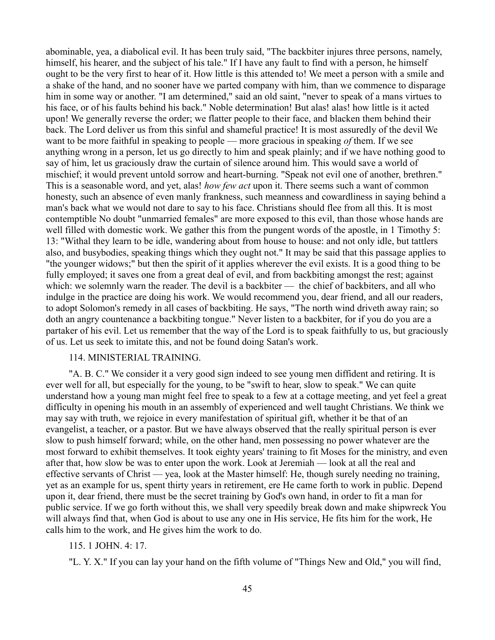abominable, yea, a diabolical evil. It has been truly said, "The backbiter injures three persons, namely, himself, his hearer, and the subject of his tale." If I have any fault to find with a person, he himself ought to be the very first to hear of it. How little is this attended to! We meet a person with a smile and a shake of the hand, and no sooner have we parted company with him, than we commence to disparage him in some way or another. "I am determined," said an old saint, "never to speak of a mans virtues to his face, or of his faults behind his back." Noble determination! But alas! alas! how little is it acted upon! We generally reverse the order; we flatter people to their face, and blacken them behind their back. The Lord deliver us from this sinful and shameful practice! It is most assuredly of the devil We want to be more faithful in speaking to people — more gracious in speaking *of* them. If we see anything wrong in a person, let us go directly to him and speak plainly; and if we have nothing good to say of him, let us graciously draw the curtain of silence around him. This would save a world of mischief; it would prevent untold sorrow and heart-burning. "Speak not evil one of another, brethren." This is a seasonable word, and yet, alas! *how few act* upon it. There seems such a want of common honesty, such an absence of even manly frankness, such meanness and cowardliness in saying behind a man's back what we would not dare to say to his face. Christians should flee from all this. It is most contemptible No doubt "unmarried females" are more exposed to this evil, than those whose hands are well filled with domestic work. We gather this from the pungent words of the apostle, in 1 Timothy 5: 13: "Withal they learn to be idle, wandering about from house to house: and not only idle, but tattlers also, and busybodies, speaking things which they ought not." It may be said that this passage applies to "the younger widows;" but then the spirit of it applies wherever the evil exists. It is a good thing to be fully employed; it saves one from a great deal of evil, and from backbiting amongst the rest; against which: we solemnly warn the reader. The devil is a backbiter — the chief of backbiters, and all who indulge in the practice are doing his work. We would recommend you, dear friend, and all our readers, to adopt Solomon's remedy in all cases of backbiting. He says, "The north wind driveth away rain; so doth an angry countenance a backbiting tongue." Never listen to a backbiter, for if you do you are a partaker of his evil. Let us remember that the way of the Lord is to speak faithfully to us, but graciously of us. Let us seek to imitate this, and not be found doing Satan's work.

## 114. MINISTERIAL TRAINING.

"A. B. C." We consider it a very good sign indeed to see young men diffident and retiring. It is ever well for all, but especially for the young, to be "swift to hear, slow to speak." We can quite understand how a young man might feel free to speak to a few at a cottage meeting, and yet feel a great difficulty in opening his mouth in an assembly of experienced and well taught Christians. We think we may say with truth, we rejoice in every manifestation of spiritual gift, whether it be that of an evangelist, a teacher, or a pastor. But we have always observed that the really spiritual person is ever slow to push himself forward; while, on the other hand, men possessing no power whatever are the most forward to exhibit themselves. It took eighty years' training to fit Moses for the ministry, and even after that, how slow be was to enter upon the work. Look at Jeremiah — look at all the real and effective servants of Christ — yea, look at the Master himself: He, though surely needing no training, yet as an example for us, spent thirty years in retirement, ere He came forth to work in public. Depend upon it, dear friend, there must be the secret training by God's own hand, in order to fit a man for public service. If we go forth without this, we shall very speedily break down and make shipwreck You will always find that, when God is about to use any one in His service, He fits him for the work, He calls him to the work, and He gives him the work to do.

# 115. 1 JOHN. 4: 17.

"L. Y. X." If you can lay your hand on the fifth volume of "Things New and Old," you will find,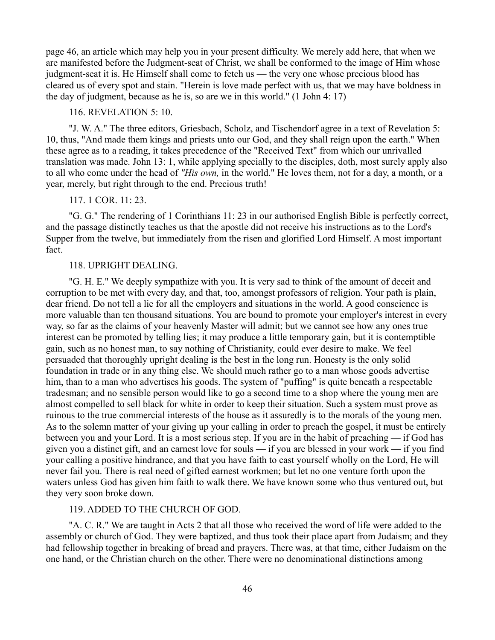page 46, an article which may help you in your present difficulty. We merely add here, that when we are manifested before the Judgment-seat of Christ, we shall be conformed to the image of Him whose judgment-seat it is. He Himself shall come to fetch us — the very one whose precious blood has cleared us of every spot and stain. "Herein is love made perfect with us, that we may have boldness in the day of judgment, because as he is, so are we in this world." (1 John 4: 17)

# 116. REVELATION 5: 10.

"J. W. A." The three editors, Griesbach, Scholz, and Tischendorf agree in a text of Revelation 5: 10, thus, "And made them kings and priests unto our God, and they shall reign upon the earth." When these agree as to a reading, it takes precedence of the "Received Text" from which our unrivalled translation was made. John 13: 1, while applying specially to the disciples, doth, most surely apply also to all who come under the head of *"His own,* in the world." He loves them, not for a day, a month, or a year, merely, but right through to the end. Precious truth!

# 117. 1 COR. 11: 23.

"G. G." The rendering of 1 Corinthians 11: 23 in our authorised English Bible is perfectly correct, and the passage distinctly teaches us that the apostle did not receive his instructions as to the Lord's Supper from the twelve, but immediately from the risen and glorified Lord Himself. A most important fact.

### 118. UPRIGHT DEALING.

"G. H. E." We deeply sympathize with you. It is very sad to think of the amount of deceit and corruption to be met with every day, and that, too, amongst professors of religion. Your path is plain, dear friend. Do not tell a lie for all the employers and situations in the world. A good conscience is more valuable than ten thousand situations. You are bound to promote your employer's interest in every way, so far as the claims of your heavenly Master will admit; but we cannot see how any ones true interest can be promoted by telling lies; it may produce a little temporary gain, but it is contemptible gain, such as no honest man, to say nothing of Christianity, could ever desire to make. We feel persuaded that thoroughly upright dealing is the best in the long run. Honesty is the only solid foundation in trade or in any thing else. We should much rather go to a man whose goods advertise him, than to a man who advertises his goods. The system of "puffing" is quite beneath a respectable tradesman; and no sensible person would like to go a second time to a shop where the young men are almost compelled to sell black for white in order to keep their situation. Such a system must prove as ruinous to the true commercial interests of the house as it assuredly is to the morals of the young men. As to the solemn matter of your giving up your calling in order to preach the gospel, it must be entirely between you and your Lord. It is a most serious step. If you are in the habit of preaching — if God has given you a distinct gift, and an earnest love for souls — if you are blessed in your work — if you find your calling a positive hindrance, and that you have faith to cast yourself wholly on the Lord, He will never fail you. There is real need of gifted earnest workmen; but let no one venture forth upon the waters unless God has given him faith to walk there. We have known some who thus ventured out, but they very soon broke down.

# 119. ADDED TO THE CHURCH OF GOD.

"A. C. R." We are taught in Acts 2 that all those who received the word of life were added to the assembly or church of God. They were baptized, and thus took their place apart from Judaism; and they had fellowship together in breaking of bread and prayers. There was, at that time, either Judaism on the one hand, or the Christian church on the other. There were no denominational distinctions among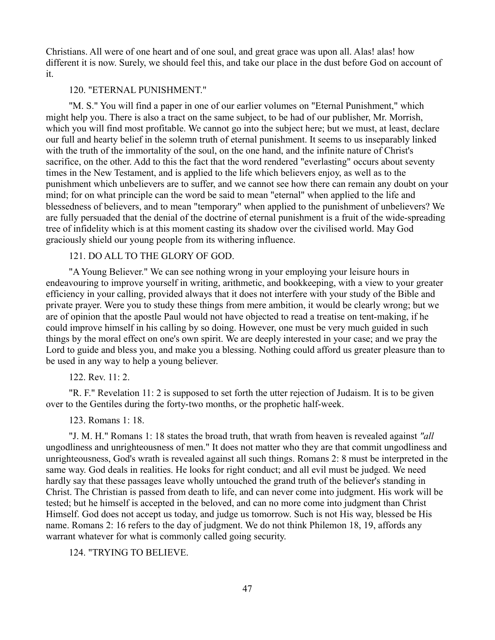Christians. All were of one heart and of one soul, and great grace was upon all. Alas! alas! how different it is now. Surely, we should feel this, and take our place in the dust before God on account of it.

### 120. "ETERNAL PUNISHMENT."

"M. S." You will find a paper in one of our earlier volumes on "Eternal Punishment," which might help you. There is also a tract on the same subject, to be had of our publisher, Mr. Morrish, which you will find most profitable. We cannot go into the subject here; but we must, at least, declare our full and hearty belief in the solemn truth of eternal punishment. It seems to us inseparably linked with the truth of the immortality of the soul, on the one hand, and the infinite nature of Christ's sacrifice, on the other. Add to this the fact that the word rendered "everlasting" occurs about seventy times in the New Testament, and is applied to the life which believers enjoy, as well as to the punishment which unbelievers are to suffer, and we cannot see how there can remain any doubt on your mind; for on what principle can the word be said to mean "eternal" when applied to the life and blessedness of believers, and to mean "temporary" when applied to the punishment of unbelievers? We are fully persuaded that the denial of the doctrine of eternal punishment is a fruit of the wide-spreading tree of infidelity which is at this moment casting its shadow over the civilised world. May God graciously shield our young people from its withering influence.

# 121. DO ALL TO THE GLORY OF GOD.

"A Young Believer." We can see nothing wrong in your employing your leisure hours in endeavouring to improve yourself in writing, arithmetic, and bookkeeping, with a view to your greater efficiency in your calling, provided always that it does not interfere with your study of the Bible and private prayer. Were you to study these things from mere ambition, it would be clearly wrong; but we are of opinion that the apostle Paul would not have objected to read a treatise on tent-making, if he could improve himself in his calling by so doing. However, one must be very much guided in such things by the moral effect on one's own spirit. We are deeply interested in your case; and we pray the Lord to guide and bless you, and make you a blessing. Nothing could afford us greater pleasure than to be used in any way to help a young believer.

122. Rev. 11: 2.

"R. F." Revelation 11: 2 is supposed to set forth the utter rejection of Judaism. It is to be given over to the Gentiles during the forty-two months, or the prophetic half-week.

123. Romans 1: 18.

"J. M. H." Romans 1: 18 states the broad truth, that wrath from heaven is revealed against *"all* ungodliness and unrighteousness of men." It does not matter who they are that commit ungodliness and unrighteousness, God's wrath is revealed against all such things. Romans 2: 8 must be interpreted in the same way. God deals in realities. He looks for right conduct; and all evil must be judged. We need hardly say that these passages leave wholly untouched the grand truth of the believer's standing in Christ. The Christian is passed from death to life, and can never come into judgment. His work will be tested; but he himself is accepted in the beloved, and can no more come into judgment than Christ Himself. God does not accept us today, and judge us tomorrow. Such is not His way, blessed be His name. Romans 2: 16 refers to the day of judgment. We do not think Philemon 18, 19, affords any warrant whatever for what is commonly called going security.

124. "TRYING TO BELIEVE.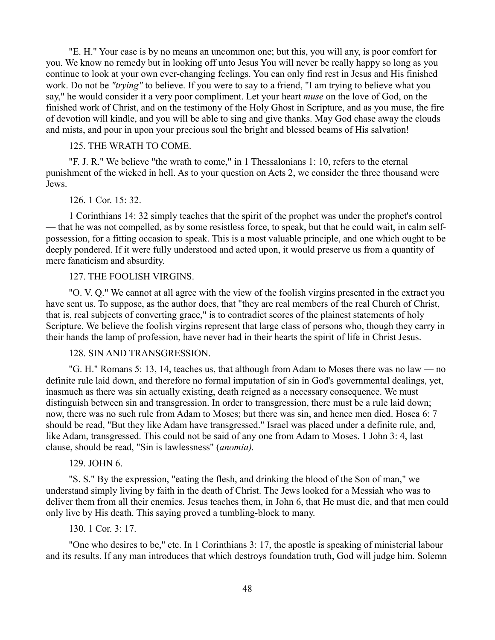"E. H." Your case is by no means an uncommon one; but this, you will any, is poor comfort for you. We know no remedy but in looking off unto Jesus You will never be really happy so long as you continue to look at your own ever-changing feelings. You can only find rest in Jesus and His finished work. Do not be *"trying"* to believe. If you were to say to a friend, "I am trying to believe what you say," he would consider it a very poor compliment. Let your heart *muse* on the love of God, on the finished work of Christ, and on the testimony of the Holy Ghost in Scripture, and as you muse, the fire of devotion will kindle, and you will be able to sing and give thanks. May God chase away the clouds and mists, and pour in upon your precious soul the bright and blessed beams of His salvation!

### 125. THE WRATH TO COME.

"F. J. R." We believe "the wrath to come," in 1 Thessalonians 1: 10, refers to the eternal punishment of the wicked in hell. As to your question on Acts 2, we consider the three thousand were Jews.

# 126. 1 Cor. 15: 32.

1 Corinthians 14: 32 simply teaches that the spirit of the prophet was under the prophet's control — that he was not compelled, as by some resistless force, to speak, but that he could wait, in calm selfpossession, for a fitting occasion to speak. This is a most valuable principle, and one which ought to be deeply pondered. If it were fully understood and acted upon, it would preserve us from a quantity of mere fanaticism and absurdity.

#### 127. THE FOOLISH VIRGINS.

"O. V. Q." We cannot at all agree with the view of the foolish virgins presented in the extract you have sent us. To suppose, as the author does, that "they are real members of the real Church of Christ, that is, real subjects of converting grace," is to contradict scores of the plainest statements of holy Scripture. We believe the foolish virgins represent that large class of persons who, though they carry in their hands the lamp of profession, have never had in their hearts the spirit of life in Christ Jesus.

# 128. SIN AND TRANSGRESSION.

"G. H." Romans 5: 13, 14, teaches us, that although from Adam to Moses there was no law — no definite rule laid down, and therefore no formal imputation of sin in God's governmental dealings, yet, inasmuch as there was sin actually existing, death reigned as a necessary consequence. We must distinguish between sin and transgression. In order to transgression, there must be a rule laid down; now, there was no such rule from Adam to Moses; but there was sin, and hence men died. Hosea 6: 7 should be read, "But they like Adam have transgressed." Israel was placed under a definite rule, and, like Adam, transgressed. This could not be said of any one from Adam to Moses. 1 John 3: 4, last clause, should be read, "Sin is lawlessness" (*anomia).* 

### 129. JOHN 6.

"S. S." By the expression, "eating the flesh, and drinking the blood of the Son of man," we understand simply living by faith in the death of Christ. The Jews looked for a Messiah who was to deliver them from all their enemies. Jesus teaches them, in John 6, that He must die, and that men could only live by His death. This saying proved a tumbling-block to many.

# 130. 1 Cor. 3: 17.

"One who desires to be," etc. In 1 Corinthians 3: 17, the apostle is speaking of ministerial labour and its results. If any man introduces that which destroys foundation truth, God will judge him. Solemn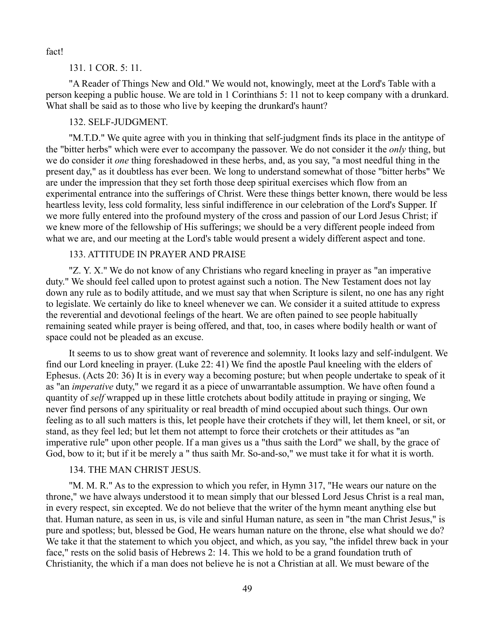fact!

#### 131. 1 COR. 5: 11.

"A Reader of Things New and Old." We would not, knowingly, meet at the Lord's Table with a person keeping a public house. We are told in 1 Corinthians 5: 11 not to keep company with a drunkard. What shall be said as to those who live by keeping the drunkard's haunt?

# 132. SELF-JUDGMENT.

"M.T.D." We quite agree with you in thinking that self-judgment finds its place in the antitype of the "bitter herbs" which were ever to accompany the passover. We do not consider it the *only* thing, but we do consider it *one* thing foreshadowed in these herbs, and, as you say, "a most needful thing in the present day," as it doubtless has ever been. We long to understand somewhat of those "bitter herbs" We are under the impression that they set forth those deep spiritual exercises which flow from an experimental entrance into the sufferings of Christ. Were these things better known, there would be less heartless levity, less cold formality, less sinful indifference in our celebration of the Lord's Supper. If we more fully entered into the profound mystery of the cross and passion of our Lord Jesus Christ; if we knew more of the fellowship of His sufferings; we should be a very different people indeed from what we are, and our meeting at the Lord's table would present a widely different aspect and tone.

# 133. ATTITUDE IN PRAYER AND PRAISE

"Z. Y. X." We do not know of any Christians who regard kneeling in prayer as "an imperative duty." We should feel called upon to protest against such a notion. The New Testament does not lay down any rule as to bodily attitude, and we must say that when Scripture is silent, no one has any right to legislate. We certainly do like to kneel whenever we can. We consider it a suited attitude to express the reverential and devotional feelings of the heart. We are often pained to see people habitually remaining seated while prayer is being offered, and that, too, in cases where bodily health or want of space could not be pleaded as an excuse.

It seems to us to show great want of reverence and solemnity. It looks lazy and self-indulgent. We find our Lord kneeling in prayer. (Luke 22: 41) We find the apostle Paul kneeling with the elders of Ephesus. (Acts 20: 36) It is in every way a becoming posture; but when people undertake to speak of it as "an *imperative* duty," we regard it as a piece of unwarrantable assumption. We have often found a quantity of *self* wrapped up in these little crotchets about bodily attitude in praying or singing, We never find persons of any spirituality or real breadth of mind occupied about such things. Our own feeling as to all such matters is this, let people have their crotchets if they will, let them kneel, or sit, or stand, as they feel led; but let them not attempt to force their crotchets or their attitudes as "an imperative rule" upon other people. If a man gives us a "thus saith the Lord" we shall, by the grace of God, bow to it; but if it be merely a " thus saith Mr. So-and-so," we must take it for what it is worth.

### 134. THE MAN CHRIST JESUS.

"M. M. R." As to the expression to which you refer, in Hymn 317, "He wears our nature on the throne," we have always understood it to mean simply that our blessed Lord Jesus Christ is a real man, in every respect, sin excepted. We do not believe that the writer of the hymn meant anything else but that. Human nature, as seen in us, is vile and sinful Human nature, as seen in "the man Christ Jesus," is pure and spotless; but, blessed be God, He wears human nature on the throne, else what should we do? We take it that the statement to which you object, and which, as you say, "the infidel threw back in your face," rests on the solid basis of Hebrews 2: 14. This we hold to be a grand foundation truth of Christianity, the which if a man does not believe he is not a Christian at all. We must beware of the